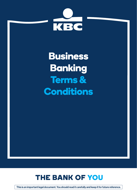

**Business Banking Terms & Conditions**



This is an important legal document. You should read it carefully and keep it for future reference.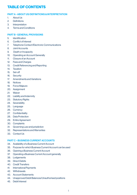## **TABLE OF CONTENTS**

#### PART A - ABOUT US/DEFINITIONS & INTERPRETATION

- 1. About Us
- 2. Definitions
- 3. Interpretation
- 4. Terms and Conditions

#### PART B - GENERAL PROVISIONS

- 5. Identification
- 6. Conflict of Interest
- 7. Telephone Contact/Electronic Communications
- 8. Joint Accounts
- 9. Death or Incapacity
- 10. Operating an Account Generally
- 11. Closure of an Account
- 12. Fees and Charges
- 13. Credit Referencing and Reporting
- 14. Taxation
- 15. Set-off
- 16. Security
- 17. Amendments and Variations
- 18. Notices
- 19. Force Majeure
- 20. Assignment
- 21. Waiver
- 22. Liability and Indemnity
- 23. Statutory Rights
- 24. Severability
- 25. Language
- 26. Currency
- 27. Confidentiality
- 28. Data Protection
- 29. Entire Agreement
- 30. Complaints
- 31. Governing Law and jurisdiction
- 32. Representations and Warranties
- 33. Contact Us

#### PART C – BUSINESS CURRENT ACCOUNTS

- 34. Availability of a Business Current Account
- 35. Purpose for which Business Current Account can be used
- 36. Opening a Business Current Account
- 37. Operating a Business Current Account generally
- 38. Lodgements
- 39. Direct Debits
- 40. Credit Transfers
- 41. International Payments
- 42. Withdrawals
- 43. Account Statements
- 44. Unapproved Debit Balances/Unauthorised positions
- 45. Debit Interest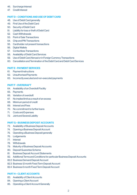#### 46. Surcharge Interest

47. Credit Interest

#### PART D – CONDITIONS AND USE OF DEBIT CARD

- 48. Use of Debit Card generally
- 49. First Use of the Debit Card
- 50. Security of Debit Card
- 51. Liability for loss or theft of Debit Card
- 52. Cash Withdrawals
- 53. Point of Sale Transactions
- 54. Chip and PIN Transactions
- 55. Cardholder not present transactions
- 56. Digital Wallets
- 57. Contactless Transactions
- 58. Availability of Debit Card Services
- 59. Use of Debit Card Abroad or in Foreign Currency Transactions
- 60. Cancellation and Termination of the Debit Card and Debit Card Services

#### PART E - PAYMENT SERVICES

- 61. Payment Instructions
- 62. Unauthorised Payments
- 63. Incorrectly executed and non-executed payments

#### PART F - OVERDRAFT

- 64. Availability of an Overdraft Facility
- 65. Payments
- 66. Variation of overdraft
- 67. No implied limit as a result of an excess
- 68. Minimum period of credit
- 69. Interest and Fees
- 70. No commitment to further loans
- 71. Costs and Expenses
- 72. Joint and Several Liability

#### PART G – BUSINESS DEPOSIT ACCOUNTS

- 73. Availability of Business Deposit Accounts
- 74. Opening a Business Deposit Account
- 75. Operating a Business Deposit generally
- 76. Lodgements
- 77. Interest
- 78. Withdrawals
- 79. Maturity of Business Deposit Accounts
- 80. Deposit Guarantee Scheme
- 81. Business Deposit Account Statements
- 82. Additional Terms and Conditions for particular Business Deposit Accounts
- 82.2 Business Demand Deposit Account
- 82.3 Business 12 month Fixed Term Deposit Account
- 82.4 Business 6 month Fixed Term Deposit Account

#### PART H – CLIENT ACCOUNTS

- 83. Availability of Client Accounts
- 84. Opening a Client Account
- 85. Operating a Client Account Generally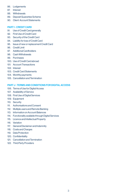- 86. Lodgements
- 87. Interest
- 88. Withdrawals
- 89. Deposit Guarantee Scheme
- 90. Client Account Statements

#### PART I - CREDIT CARD

- 91. Use of Credit Card generally
- 92. First Use of Credit Card
- 93. Security of the Credit Card
- 94. Liability for loss of Credit Card
- 95. Issue of new or replacement Credit Card
- 96. Credit Limit
- 97. Additional Cardholders
- 98. Cash Withdrawals
- 99. Purchases
- 100. Use of Credit Card abroad
- 101. Account Transactions
- 102. Interest
- 103. Credit Card Statements
- 104. Monthly payments
- 105. Cancellation and Termination

#### PART J - TERMS AND CONDITIONS FOR DIGITAL ACCESS

- 106. Terms of Use for Digital Access
- 107. Availability of Service
- 108. First Use of Digital Services
- 109. Equipment
- 110. Security
- 111 Authorisations and Consent
- 112. Multiple users and Remote Banking
- 113. Information on Account Balances
- 114. Functionality available through Digital Services
- 115. Licence and Intellectual Property
- 116. Variation
- 117. General Disclaimer and Indemnity
- 118. Costs and Charges
- 119. Data Protection
- 120. Confidentiality
- 121 Cancellation and Termination
- 122. Third Party Providers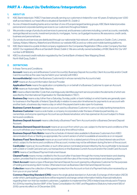## **PART A - About Us/Definitions/Interpretation**

#### 1. ABOUT US

- 1.1 KBC Bank Ireland plc ("KBCI") has been proudly serving our customers in Ireland for over 40 years. Employing over 1,000 staff across Ireland, our head office is situated at Sandwith St., Dublin 2.
- 1.2 As one of Ireland's leading banks and a member of one of Europe's largest banking groups, KBC Bank Ireland provides personal and corporate banking services to our customers throughout Ireland.
- 1.3 We provide a range of products and services to personal, and business customers including; current accounts, overdrafts, savings/deposit accounts, investment products, mortgages, home, car & gadget insurance, life assurance, credit cards, business and personal loans.
- 1.4 Our products and services are distributed through our nationwide Hub network, with locations in Dublin, Cork, Limerick, Galway, Kildare, Kilkenny, Waterford and Wicklow our website KBC.ie and our online and mobile banking platforms.
- 1.5 KBC Bank Ireland is a public limited company registered in the Companies Registration Office under Company Number 40537. Our registered office is at Sandwith Street, Dublin 2. We are a wholly owned subsidiary of KBC Bank N.V. Our VAT number is 8F86824G.
- 1.6 KBCI is a licensed credit institution regulated by the Central Bank of Ireland, New Wapping Street, North Wall Quay, Dublin 1.

#### 2. DEFINITIONS

In these Terms and Conditions:

Account means any and all Business Current Account(s), Business Deposit Account(s), Client Account(s) and/or Credit Card Account(s) as the case may be held in your name(s) with KBCI.

Accountholder(s) means the Business Customer(s) in whose name(s) the Account is held.

AISP means an Account Information Service Provider.

Application Form means the application completed by or on behalf of a Business Customer to open an Account.

**ATM** means an Automated Teller Machine.

BIC means a Bank Identifier Code that unambiguously identifies payment service providers the elements of which are specified by the International Organisation for Standardisation ("ISO").

**Business Day** means a day (other than a Saturday, Sunday, public or bank holiday) on which banks are generally open for business in the Republic of Ireland. Specifically in relation to execution timeframes for payments to an account with another bank, a business day means a day on which the payee's bank is also open for business.

**Business Current Account** means an account used by a Business Customer to carry out daily banking transactions

**Business Customer** means a sole trader, a company incorporated under the laws of Ireland,a partnership, coownerships, and anyone opening an Account as a professional advisor, who has opened an Account subject to these terms and conditions.

**Business Deposit Account** means collectively a Business Fixed Term Account and/or a Business Demand Deposit Account.

**Business Demand Deposit Account** means an account from which you can, subject to the terms and conditions of the account withdraw your money from the account at any time without notice.

**Business Deposit Rate Matrix** means the schedule of interest rates available to Business Customers from KBCI denominated in Euro or Sterling as appropriate, the current version of which is available at www.kbc.ie or on request.

**Business Fixed Term Account** means an account which is for a stated period of time at a fixed interest rate and from which, subject to the terms and conditions of the account, monies may not be withdrawn during the term of the account.

**Cardholder** means an Accountholder, or such other person nominated and permitted by the Accountholder to be issued with a Debit or Credit Card and carry out transactions on the Business Current Account and/or the Credit Card Account.

CBPII means a Card Based Payment Instrument Issuer.

**Cleared Funds** means money credited to the Account after it has been through the money transmission and clearing system, provided that it is not recalled in accordance with the rules of the money transmission and clearing system.

**Client Account** means a type of Business Demand Deposit Account opened by a Business Customer for the purposes of holding and receiving client monies. Otherwise known as Business Client Demand Deposit Account.

Collection means the collection of the agreed monies from the Account on foot of a Payment Instruction received by us from you or on your behalf.

Common Reporting Standard (CRS) means the single global standard on Automatic Exchange of Information (AEOI) under which, participating jurisdictions will be required to exchange certain information held by financial institutions regarding their non-Irish tax resident customers. Legislation to implement the CRS in Ireland was introduced in Finance Act 2014 by inserting Section 891F of the Taxes Consolidation Act 1997, and Regulations (Statutory Instrument 583 of 2015) came into effect on 31 December 2015.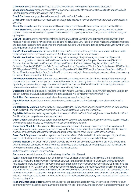**Consumer** means a natural person acting outside the course of their business, trade and/or profession.

Credit Card Account means an account through which a Business Customer can avail of credit up to a specific Credit Limit and in respect of which a Credit Card is issued.

Credit Card means any card issued in connection with the Credit Card Account.

Credit Limit means the maximum debit balance that you are allowed to have outstanding on the Credit Card Account at any time.

Credit Card Limit means the maximum debit balance that you are allowed to have outstanding on the Credit Card.

Credit Transfer is a national or cross border payment service for crediting a payee's payment account with a single payment transaction or a series of payment transactions from a payer's payment account, based on an instruction given by the payer.

Cut-Off Times means the relevant point in time during any Business Day after which any payment or payment order received will be deemed to have been received on the next Business Day. The cut off times, which are available on request, are dependent upon the transaction type and organisation used to undertake the transfer (for example your own bank, the clearing system or other third parties).

Data Protection Documents means the Data Protection Notice and the Privacy Statement as amended, extended or replaced from time to time for such reasons as KBCI deems reasonable and/or necessary;

**Data Protection Law** means all legislation and regulations relating to the processing and protection of personal data including (without limitation) the Data Protection Acts 1988 and 2003, the European Communities (Electronic Communications Networks and Services) (Privacy and Electronic Commutations) Regulations 2011, the EU Data Protection Directive 95/46/EC, the Data Protection (Registration) Regulations 2001, the Data Protection Act 1988 (Section 16(1)) Regulations 2007, the General Data Protection Regulation (EU) 2016/679, and the Personal Data Security Breach Code of Practice issued by the Data Protection Commissioner relating to the processing of personal data or privacy or any amendments and re-enactments thereof;

Data Protection Notice means the data protection notice produced by us to explain the terms on which any personal data received in connection with your Accounts will be collected and used by us or on our instruction and the mechanisms by which you can exercise your rights pursuant to Data Protection Law. The Data Protection Notice may be accessed online at www.kbc.ie. Hard copies may also be obtained directly from us;

Debit Card means a card issued by KBCI in connection with the Business Current Account which allows the Cardholder to carry out Point of Sale, online and telephone transactions as well as withdraw money from an ATM.

**Debit Card Services** means services that can be availed of using the Debit Card.

Digital Services means the services that can be accessed through the online banking functionality available on the **Website** 

Digital Security Materials means the KBCI Business Banking Online Activation and Security Application, the activation code, the User ID and the password referred to in Clause 108 of these Terms and Conditions.

Digital Wallet is an electronic payment system that uses your Debit or Credit Card or digital records of the Debit or Credit Card to allow you complete electronic transactions.

Direct Debit is a national or cross border (same currency) payment service for making payments from a payer's Account, which payments are initiated by the payee on the basis of the payer's consent

Direct Debit Mandate is the agreement between you and a creditor authorising a Direct Debit. It is the expression of consent and authorisation given by you to a creditor to allow that creditor to initiate collection of the Direct Debit from the Account on the terms specified in the Mandate and authorises KBCI to effect Direct Debits on the Account.

Direct Debit Originator means the payee or creditor under a Direct Debit and will include for example utility providers, telecommunication providers and other service and product providers you authorise to debit the Account.

**Durable Medium** is a medium which enables a recipient to store information addressed personally to the recipient in a way that renders it accessible for future reference for a period of time adequate for the purposes of the information and which allows the unchanged reproduction of the information stored.

**EEA** means the European Economic Area.

Euro means the lawful currency for the time being of the Republic of Ireland.

**FATCA** means the Foreign Account Tax Compliance Act, a US piece of legislation whose overall aim is to combat tax evasion by improving the exchange of information between tax authorities in relation to US citizens and residents who hold assets off-shore. In 2012, the Irish Government signed an Intergovernmental Agreement with the US in relation to the implementation of FATCA in Ireland. This Agreement provides for a bilateral and reciprocal exchange of information with the US in relation to accounts held in Irish financial institutions by US persons, and accounts held in US financial institutions by Irish tax residents. The legislation to implement the Intergovernmental Agreement - Section 891E, Taxes Consolidation Act 1997 - was inserted by Section 32, Finance Act 2013 and the Regulations (Statutory Instrument 292 of 2014) came into force from 1 July 2014.

Fees and Charges Booklet means the schedule of fees and charges applied by KBCI in connection with the Account as amended from time to time in the manner provided for in these Terms and Conditions, which is available from any of our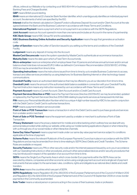offices, online at our Website or by contacting us at 1800 804 414 or business.support@kbc.ie and is called the Business Banking Fees and Charges Booklet.

GBP means British pound sterling.

IBAN means an international 22 character Bank Number identifier, which unambiguously identifies an individual payment account, the elements of which are specified by the ISO.

Interest shall be the interest calculated on Cleared Funds in a Business Deposit Account and/or Client Account at the rate agreed between the Bank and the Business Customer in accordance with these Terms and Conditions.

International Payment means a payment which is not a payment in accordance with the SEPA Regulations.

**Joint Account** means an Account opened in more than one name and includes an Account in the name of a partnership. KBC Bank Group means KBC Group NV and its subsidiaries.

KBCI Business Banking Online Activation and Security Application means the app that generates an activation code.

Letter of Sanction means the Letter of Sanction issued to you setting out the terms and conditions of the Overdraft Facility.

Lodgement means any deposit of money into the Account.

**MasterCard Securecode** means the system operated by MasterCard to authenticate an ecommerce transaction. **Maturity Date** means the date upon which a Fixed Term Account ends.

Micro-enterprise means an enterprise which employs fewer than 10 persons and whose annual turnover and/or annual balance sheet total does not exceed EUR 2 million as defined in Commission Recommendation 2003/361/EC of 6 May 2003 as may be amended from time to time.

**Operating Instructions** means the instructions issued from time to time by us to enable Business Customers to access. transact and utilise services provided by us using telephone, for Business Banking Internet or other technology-based communications.

Overdraft Facility means an authorised debit balance that may be offered to you at our discretion from time to time. Overdraft Limit means the amount of the authorised debit balance available in connection with your Overdraft Facility. Payment Instruction means any instruction received by us in accordance with these Terms and Conditions.

Payment Account means a Current Account, Client Account and/or a Credit Card Account.

**Payment Services Directive or PSD** means the Payment Services Directive 2007/64/EC as may be amended, updated or replaced by the Payment Services Directive 2015/2366 relating to payments services as transposed into Irish law.

PIN means your Personal Identification Number which is a unique 4 digit number issued by KBCI to be used in conjunction with the Debit Card or Credit Card to authorise transactions .

PISP means a payment initiation service provider.

Point of Sale or POS Transaction means a transaction in which the Debit Card is used to purchase goods and services from a retailer and/or merchant.

Point of Sale or POS Terminal means the equipment used by a retailer or merchant to authorise a Point of Sale Transaction.

**Privacy Statement** means the privacy statement for mobile and online banking which outlines how we deal with any personal data provided while visiting our website, while using our mobile banking applications (Apps) or when interacting with us through any of our social media or other interactive channels;

Same Day Value Payment means a payment made under our same day value payment service subject to conditions applicable at the time of payment.

Scheme Rules means the relevant Rulebook of the European Payments Council as in place in accordance with the SEPA Regulations and as may be amended from time to time relating to SEPA Direct Debits and Credit Transfers. The Scheme Rules are available on request.

Security Features means any PIN or other security code and/or the internet password issued by us to you in accordance with our Operating Instructions or other procedures, and such other personalised devices and/or security procedures that may be introduced in respect of the operation of an account from time to time.

SEPA means the Single Euro Payments Area in which cross-border Euro payments within the SEPA Area can be executed by citizens, companies and other economic actors using a single payment account and a single set of payment instruments that are subject to the same basic rules, conditions, rights and obligations as national direct debits and credit **transfers** 

SEPA Area means the countries which are part of SEPA.

SEPA Regulations means Regulation (EU) No 260/2012 of the European Parliament and of the Council of 14 March 2012 and Regulation (EC) No 924/2009 of the European Parliament and of the Council of 16 September 2009 on cross-border payments in the Community as amended.

Sole Trader means a natural person or persons acting in the course of their business, trade or profession.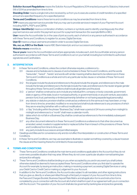Solicitor Account Regulations means the Solicitor Account Regulations 2014 enacted pursuant to Statutory Instrument 516 of 2014 as amended from time to time.

Standing Order means a single instruction received by us from you to execute a series of credit transfers of a specified amount at a specified frequency for a specified period.

**Terms and Conditions** means these terms and conditions as may be amended from time to time.

**TPP** means any payment service provider that you may use to provide services in respect of your Payment Account including AISP's, PISP's and CBPII's

Unique Identifier(s) means a combination of letters, numbers or symbols used to identify unambiquously the other payment service user and/or the payment account for a payment transaction (for example IBAN or BIC).

User means the Accountholder (or, in the case of joint accounts, each of whom) or any person authorised in accordance with these Terms and Conditions, to register for, access, Digital Services.

User ID means a unique username provided in order to access Digital Services.

We, our, us, KBCI or the Bank means KBC Bank Ireland plc and our successors and assigns.

#### Website means www.kbc.ie.

You or yours means the Accountholders and where appropriate, includes each Joint Accountholder and any person authorised in accordance with these Terms and Conditions to act on your behalf, including but not limited to authorised signatories and Cardholders.

#### 3. INTERPRETATION

- 3.1 In these Terms and Conditions, unless the context otherwise requires, a reference to:-
	- 3.1.1 clauses and schedules are to clauses of, and schedules to these Terms and Conditions, and the words "hereunder", "hereof" , "hereto" and words with similar meaning shall be deemed to be references to these Terms and Conditions as a whole and not to any particular recital, clause or schedule of these Terms and Conditions:
	- 3.1.2 the singular include the plural and references to the plural include the singular; and references to the male include the female and references to the female include the male; and references to the neuter singular gender throughout these Terms and Conditions shall include all genders and the plural;
	- 3.1.3 a "person" shall be construed so as to include any individual firm, company or body corporate, government, state or agency of the state, local or municipal authority, or government body or any joint venture, association, pension fund, trust, partnership or limited partnership (whether or not having separate legal personality);
	- 3.1.4 any statute or statutory provision shall be construed as a reference to the same as it may have been, or may from time to time be, amended, modified or re-enacted and shall include references to any provisions of which they are re-enacting (whether with or without modification);
	- 3.1.5 a "day" (including within the phrase "Business Day") shall mean a period of 24 hours running from midnight to midnight and references to a "month" shall mean a calendar month;
	- 3.1.6 dates which do not fall on a Business Day shall be construed as references to the immediately subsequent Business Day;
	- 3.1.7 any other document referred to in these Terms and Conditions is a reference to that other document as amended, varied, novated or supplemented or replaced (other than in breach of the provisions of these Terms and Conditions) from time to time; and
	- 3.1.8 any party include its successors and permitted assigns.
- 3.2 Headings and titles are for convenience only and do not affect the interpretation or construction of these Terms and Conditions.
- 3.3 In these Terms and Conditions, we may use examples to illustrate or explain something covered by a clause however the clause and the meaning thereof is not limited to those examples.

#### 4. TERMS AND CONDITIONS

- 4.1 These Terms and Conditions constitute the main terms and conditions applicable to the Account but they do not cover every possible situation that may arise. Where they do not cover a particular situation normal banking law and practice will apply.
- 4.2 These Terms and Conditions shall be binding on you when accepted by you and in any event you shall (unless otherwise stated) be deemed to have accepted these Terms and Conditions when you first start to operate the Account for example, by issuing an instruction, making or receiving a payment, accessing Digital Services or using your Debit Card or Credit Card or making a Lodgement to your Account.
- 4.3 In addition to the Terms and Conditions, the Account is also subject to all mandates, and other signing instructions that you give us, directly or where permitted through a third party in respect of your Account from time to time, the Fees and Charges Booklet, Business Deposit Rate Matrix and all application forms and instruction forms completed by you in connection with the Account all of which shall form part of our agreement with you in connection with the Account. The operation of your Account shall also be governed by banking law and practice generally.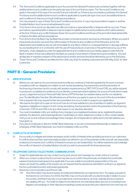- 4.4 The Terms and Conditions applicable to your Account are the General Provisions set out below together with the additional terms and conditions for the particular type of Account that you open. The Terms and Conditions only apply to the extent of the type of Account(s) that you hold with us. If there is any inconsistency between the General Provisions and the additional terms and conditions applicable to a particular type of account, the additional terms and conditions for that account type shall have precedence.
- 4.5 You may request a copy of these Terms and Conditions at any time. A copy may be provided on paper or another Durable Medium (such as an email addressed to you).
- 4.6 From time to time and at our discretion we offer promotions or special benefits or features with an account. These promotions, special benefits or features may be subject to additional terms and conditions which will be advised at the time. If there is any conflict between these Terms and Conditions and those of the promotion/special benefits or feature the latter will have precedence.
- 4.7 From time to time the Bank may facilitate the provision of products and/or services by a third party. Where you avail of these products and/or services they will be subject to the terms and conditions of the third party and to the fullest extent permissible by law we will not be liable for any direct, indirect or consequential loss or damage suffered by you resulting from or in connection with the use of those products or services or the performance by you or the third party of any obligations under the applicable terms and conditions and you hereby agree to indemnify the Bank in respect of any loss suffered by the Bank as a result of your breach of those terms and conditions. Any and all disputes or inquiries in respect of the said products and/or services should be directed by you to the third party.
- 4.8 These Terms and Conditions are effective from 30th July 2022 for existing customers and 30th May 2022 for New Customers.

## **PART B - General Provisions**

#### 5. IDENTIFICATION

- 5.1 Before you can open an Account and at anytime while you continue to hold and operate the Account, to ensure compliance with our obligations in relation to anti-money laundering, fraud prevention and the prevention of the financing of terrorism and to comply with taxation requirements e.g. DIRT, FATCA and CRS, you will be required to produce to us satisfactory evidence of your identity, current permanent address, the source of funds which make up any Lodgement and your Personal Public Service (PPS) Number, tax resident status and for non residents your Tax Identification Number. We will advise you at the time you apply to open an Account of the documentation that is required. We may request further documentation from you in order to support your application.
- 5.2 We reserve the right not to open an Account if we do not have satisfactory documentation to satisfy our legal and regulatory obligations in respect of anti-money-laundering, fraud prevention and/or the prevention of the financing of terrorism, FATCA and CRS or for any other reason in our absolute discretion.
- 5.3 You must immediately notify us in writing of any change in your registered business name, registered business address, the directors, authorised signatories, Cardholders or Users, telephone number or other contact details. Until you do so and until we acknowledge these changes, all correspondence will be sent to the last address you have given us.
- 5.4 If you are an employee or director of KBC Bank Ireland plc or you are connected professionally or related to an employee of KBC Bank Ireland plc, you must immediately notify us of this.

#### 6. CONFLICTS OF INTEREST

6.1 It is our policy to mitigate and where necessary avoid conflict of interest when providing services to our customers. If conflicts arise and they cannot be easily avoided, we will inform you of the potential conflict and will use reasonable endeavours to resolve such conflicts of interest to ensure you are treated fairly. You will be required to acknowledge the conflict of interest in a Durable Medium should you wish to proceed with the financial services.

#### 7. TELEPHONE CONTACT/ELECTRONIC COMMUNICATION

- 7.1 Subject to applicable law, we may contact you by post, phone, text message, fax, email, online or in person.
- 7.2 When you contact us about the Account we may ask you to confirm the previously nominated Accountholder password and personal password as applicable. If you are unable to provide the password(s) or if for any reason we doubt the validity of the inquirer we can request that the queries be submitted in writing to us, signed by the Accountholder(s) and/or authorised signatories.
- 7.3 Electronic Communications and Phone Calls
	- 7.3.1 Your Information may be processed, recorded and retained by us in electronic form. You agree, pursuant to the Electronic Commerce Act 2000, that KBC may communicate with you electronically in relation to your Account(s), and that it may rely on such electronic communications, records, originals and documents in any dealing with you. You shall not object to any electronic records being relied upon by us, including in any litigation, proceedings or other dispute proceedings' purely because they are in electronic form and may not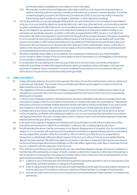be the best evidence available as to the matters to which they relate.

- 7.3.2 We may also monitor and record telephone calls made to and from us for fraud and crime prevention, to assist in improving customer services, to evidence instructions or to prevent or resolve disputes. You hereby consent and agree, pursuant to the Electronic Commerce Act 2000, to any such recording or transcript thereof being used in evidence in any litigation, arbitration, or other dispute proceedings.
- 7.4 You hereby authorise us to accept as legally binding and to act upon instructions communicated or transmitted to us by you or on your behalf by telephone, facsimile, electronic mail or any other electronic communications network or system operated by the KBCI ('electronic communications') as well as those delivered by hand, post or courier. We are not obliged to accept and act upon such instructions however such instructions shall be binding on you and unless we specifically request it, no written confirmation is required before KBCI can act on such electronic instructions. We shall not be required to inquire further into the authenticity and genuineness of the person purporting to communicate the instructions and shall be entitled to presume that the person we are dealing with is who they purport to be (subject to KBCI acting reasonably and in good faith) and that they are duly authorised to give such instructions. We may however at our absolute discretion seek such further authentication and/or confirmation in relation to the instructions as we determine to be necessary in the circumstances which may include requiring the Accountholder(s) to furnish such instructions in writing.
- 7.5 We shall not be liable, responsible or accountable for any consequence arising due to any misinterpretation of, non-receipt or delay in receipt of, the non-transmission or loss in transmission of, or the illegibility of, the electronic communication containing the instruction.
- 7.6 In consideration of us accepting instructions by way of electronic communication, you hereby undertake to indemnify us and keep us indemnified against all losses, claims, proceedings, actions, damages, costs, fees and expenses of whatever nature, howsoever incurred or sustained by us arising out of or in connection with such instructions so long as we have acted reasonably and in good faith.

#### 8. JOINT ACCOUNTS

- 81 Unless otherwise stated an Account can be opened in the name of more than one Business Customer, where such customers are individuals. The number of Accountholders permitted may be subject to a maximum limit to be determined by us at our sole discretion.
- 8.2 The obligations of the Accountholders to the Bank in respect of these Terms and Conditions and in relation to all operations in connection with a Joint Account, including where the Joint Account is the Account of a partnership, shall be joint and several.
- 8.3 A Joint Account will always operate on the basis that any one Accountholder is authorised to operate and provide instructions in respect of the Account without the authority or consent of the other Accountholder(s). Therefore the instructions of one Accountholder shall be deemed to be the instructions of all Accountholders. If you wish to place any limitations on the operation of a Joint Account you must advise us in writing signed by all Accountholders.
- 8.4 Correspondence and notices including statements in relation to the Joint Accounts will only be sent to or served on the principal Accountholder at the address provided to us on account opening unless amended in accordance with signing instructions. Any such correspondence and/ or notices so sent or served will be deemed to have been received and served upon all Accountholders.
- 8.5 In the event of any dispute or disagreement between joint Accountholders we will, until and unless new written instructions are received from all joint Accountholders, continue to rely on existing signing instructions.
- 8.6 Notwithstanding the above, if we become aware of any dispute, disagreement or incapacity of an Accountholder in relation to or in connection with a joint account (including but not limited to a dispute between joint Accountholders), we may suspend the operation of the Account with or without notice to you. If the Account is suspended no transactions or withdrawals will be permitted in respect of the Account until such time as we are satisfied that the dispute has been resolved. We shall not be liable for any losses, costs, fees or expenses that may arise as a result of the Account being suspended and you shall keep us fully indemnified against any costs, fees or expenses incurred by us in connection with the suspension of the Account.
- 8.7 If the Joint Account is the account of a partnership we may, notwithstanding any change in the name, constitution or membership of the partnership, by reason of death, insolvency, retirement, incapacity or otherwise of any partner, or the introduction of a new partner, in the absence of written notice to the contrary from the remaining partners, or the personal representatives of trustees of the departing partner:
	- 8.7. 1 continue to act on the instruction of the remaining partners having the full power to carry on the business of the partnership, as if there had been no change to the partnership.
	- 8.7. 2 in lieu of ruling the partnership's Account(s) and notwithstanding that the said Account(s) shall be overdrawn at the time, allow such Account(s) to continue to operate as if there had been no change to the partnership.
	- 8.7.3 exercise any right of set of and account to the partners for the time being as if there had been no change to the partnership.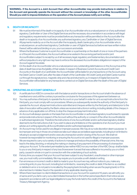WARNING:- If the Account is a Joint Account then either Accountholder may provide instructions in relation to the Account and generally operate the Account without the consent or knowledge of the other Accountholder. Should you wish to impose limitations on the operation of the Account please notify us in writing.

#### 9. DEATH OR INCAPACITY

- 9.1 We must be informed of the death or incapacity of an Accountholder who is a natural person or of any authorised signatory, Cardholder or User of the Digital Services and the necessary documentation in accordance with legal and regulatory requirements must be provided before any transaction will be permitted on the Account after the death or incapacity of an Accountholder, any authorised signatory, any Cardholder or User of Digital Services.
- 9.2 All payments made by us on the Account after the incapacity, death, bankruptcy of an Accountholder who is a natural person, an authorised signatory, Cardholder or user of Digital Services but before we have written notice thereof, will be valid and binding on you, your successors and estate.
- 9.3 Where the Business Customer is a joint Accountholder or a partnership on the death of one or more of the partners or of the joint Accountholders, the Account will become vested in the surviving partner(s) and/or joint Accountholders subject to receipt by us of all necessary legal, regulatory and testamentary documentation and without prejudice to any right we may have to enforce the deceased Accountholders obligations in respect of the Account against his estate.
- 9.4 On the death of an Accountholder who is a natural person any outstanding debit balance on the Account as at the date of death becomes the liability of their estate. In respect of Business Current Accounts and Credit Card Accounts on the death of a Cardholder, the Accountholder will be liable for any transactions on the Account using the Debit Card or Credit Card, after the date of death of the Cardholder. All Credit Cards and Debit Cards must be cut through the signature box, magnetic strip and chip and returned to us. In respect of Digital Services the Accountholder will be liable for any transactions carried out on Digital Services after the death of the user of Digital **Services**

#### 10. OPERATING AN ACCOUNT GENERALLY

- 10.1 A certificate from KBCI in connection with the balance and/or transactions on the Account shall in the absence of manifest error and until the contrary is proved be conclusive for the purposes of this agreement between us.
- 10.2 You may authorise a third party to operate the Account on your behalf. In order for us to accept instructions from the third party, you must comply with our procedures. Where you subsequently revoke the authority of the third party to operate the Account all payment instructions submitted and cheques written by the third party and dated prior to the date of revocation will be paid by the Bank unless we receive instructions in writing, including details of the cheque, in advance of any applicable cut-off time, to stop the cheque and payment instruction.
- 10.3 An Account will always operate on the basis that one Accountholder or authorised signatory is authorised to operate and provide instructions in respect of the Account without the authority or consent of the other Accountholder(s) or authorised signatory(s). Therefore the instructions of one Accountholder and/or authorised signatory shall be deemed to be the instructions of all. If you wish to place any limitations on the operations of an Account you must advise us in writing signed by all Accountholders and/or authorised signatories .
- 10.4 An Account may not be used for any illegal or improper purpose. We may at our sole discretion deem a purpose to be improper and may in those circumstances take such steps as we believe appropriate, including but not limited to refusing to accept a lodgement and/or, execute a transaction and/or closing of the Account. We shall not however be responsible for monitoring or ensuring the Account is not used for illegal or improper purposes.
- 10.5 We are required to carry out a variety of actions to manage and reduce the possibility of financial crime, this may lead to the delay, blocking, or refusing the making or clearing of any payment of the processing of a transaction using your Account. To the extent permissible by law neither KBCI nor any member of the KBC Group shall be liable to you or any third party in respect of any loss (howsoever it arose) that was suffered or incurred by you or a third party, caused in whole or in part in connection with the undertaking of such activity.
- 10.6 If at any time you suspect that your Account has been subject to any fraudulent, unauthorised or other improper use, you must notify us immediately. We may require you to provide us with details in writing.
- 10.7 If an erroneous or incorrect credit or debit is made to your Account we may, without notice to you, make any correcting entry to your Account, including but not limited to, reversing the credit or debit, if the item is so credited or debited in error or is not paid or is recalled by the paying bank (including when we are the paying bank) or if it is returned due to mistake, fraud or the operation of any applicable clearing rules.
- 10.8 Where there have been no client initiated transactions on your Account for a period of 15 years, we will notify you of same and if you fail to carry out a client initiated transaction in the further period specified in that notice we are required in accordance with our legal obligations to pay the funds held to the credit of the Account to the National Treasury Management Agency.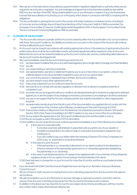- 10.9 We may act on the instructions of any statutory, governmental or regulatory department or authority where we are required to do so by law or regulation. You acknowledge and agree that to the extent permissible by law, neither KBCI nor any member of the KBC Group shall be liable to you or any third party in respect of any loss (howsoever it arose) that was suffered or incurred by you or a third party, which arises in connection with KBCI complying with its obligations.
- 10.10 The Accountholder is opening the Account in the course of its trade, business or profession and is not acting as a Consumer and accordingly does not have the protections of the Consumer Credit Act 1995 as amended, the European Communities (Consumer Credit Agreements) Regulations 2010 or the European Communities (Unfair Terms in Consumer Contracts) Regulations 1995 as amended.

#### 11. CLOSURE OF AN ACCOUNT

- 11.1 The Account will continue to operate until the Account is closed by either the Accountholder or by us in accordance with these Terms and Conditions. Any liability incurred by us or you prior to the closure of the Account will continue and be unaffected by such closure.
- 11.2 An Account may be closed in accordance with existing signing instructions. In the absence of signing instructions the written instructions of all the Accountholders and/or authorised signatories will be required to close an Account. Before the Account can be closed the balance on the Account must be zero and any outstanding debit balances on the Account must be discharged in full.
- 11.3 We may immediately close the Account or block payments from it if:
	- 11.3.1 we have reason to believe that you or any authorised signatory are no longer able to manage your financial affairs; 11.3.2 you die;
		-
	- 11.3.3 you cease trading or carrying on business;
	- 11.3.4 any representation, warranty or statement made by you to us is or becomes, in our opinion, untrue in any material respect or any documentation supplied to us by you is in our opinion false;
	- 11.3.5 you commit any serious or repeated breach of these Terms and Conditions;
	- 11.3.6 you are in breach of any other agreement with us-
	- 11.3.7 it becomes unlawful for you to continue to have the Account;
	- 11.3.8 we must do so to comply with any law, regulation or direction from a relevant competent authority or competent court;
	- 11.3.9 you enter into any arrangement with your creditors, are declared bankrupt or insolvent or judgment is obtained against you or are the subject of any analogous insolvency processes or proceedings in another jurisdiction;
	- 11.3.10 you use or we suspect that the Account, is being used for any unlawful, fraudulent or other inappropriate purpose;
	- 11.3.11 we reasonably decide at any time that all or part of the documentation you supplied did not comply with the requirements of the Criminal Justice (Money Laundering and Terrorist Financing) Act 2010.
	- 11.3.12 if we receive a Notice of Attachment from the Revenue Commissioners pursuant to Section 1001 and/or Section 1002 of the Taxes Consolidation Act 1997 in relation to any one or more of the Accountholders;
	- 11.3.13 for any reason this agreement or the Terms and Conditions become unenforceable or void; or
	- 11.3.14 You do not supply us with CRS and/or FATCA information.
	- 11.3.15 In addition, we can close the Account or block payments immediately in any of the following circumstances:
		- (i) In the case of a corporate entity
			- if a receiver, examiner, administrator is appointed over you and/or any of your assets; or
			- if a petition is presented or an order is made or a resolution is proposed or passed for your winding up; or
			- if you are unable to pay your debts within the meaning of Section 570 of the Companies Act 2014 or any re- enactment or amendment thereof.
		- (ii) In the case of a Joint Account:
			- if the partnership or co-ownership is dissolved or in our opinion is about to be dissolved; or
				- if there is a breach of the partnership agreement or co-ownership agreement establishing the partnership or co-ownership.
		- (iii ) In the case of a professional advisor, if it ceases to be registered with or be a member of its professional regulatory body or if in our opinion it is not acting in the best interests of its clients.
	- 11.3.16 there has been no transaction on your Account for more than 6 months, and the account balance is less than €10.
- 11.4 If you terminate both Debit Card Services and Digital Services we may at our discretion close your Business Current Account.
- 11.5 We do not have to notify you prior to closing the Account or blocking a payment from the Account for the reasons set out above.
- 11.6 We will not be liable to you or any third party for any loss, damage or expense incurred in connection with the closure of the Account or blocking of payments from the Account for the reasons set out above.
- 11.7 In addition to the above we may close the Account for any reason at any time by providing you with two months prior written notice unless otherwise permitted by law.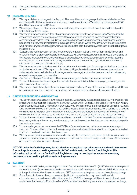11.8 We reserve the right in our absolute discretion to close the Account at any time before you first start to operate the Account.

#### 12. FEES AND CHARGES

- 12.1 We may apply fees and charges to the Account. The current fees and charges applicable are detailed in our Fees and Charges Booklet which is available from any of our offices, online at our Website or by contacting us at 1800 804 414 or Business.Support@kbc.ie.
- 12.2 We are legally obliged to collect government taxes that apply in respect of the Account, such as the duty on the Debit Cards and Credit Cards.
- 12.3 We may debit the Account for all fees, charges and government taxes for which you are liable. We may debit the Account for such fees, charges and government taxes even if to do so would cause the Account to become overdrawn or exceed the Credit Limit. Certain fees and charges such as current account maintenance fees may be applicable to the Account regardless of the usage on the Account. We will provide you with at least 10 Business Days' notice of any fees and charges which are to be deducted from the Account, where such fees and charges are in excess of €10.
- 12.4 Subject where applicable to us notifying the appropriate regulatory authority, we may from time to time amend or vary the fees or charges applicable to the Account. We will give you at least two months' notice of any change to the fees and charges. Where the change in fees or charges is to your benefit we may at our discretion apply the new fees and charges with shorter notice to you and/or where we are permitted by law to do so otherwise the relevant notice periods as referred to will apply.
- 12.5 We can determine at our sole discretion, the method by which we notify you of the changes to the fees and charges applicable to the Account. We may, without limitation, notify you by letter by way of an insert enclosed with your statement, electronic mail, telephone (including recorded message) and/or advertisement in an Irish national daily or weekly newspaper or on our website.
- 12.6 Our Fees and Charges Booklet sets out how fees and charges on the Account may be minimised.
- 12.7 You should be aware that depending on the particular transaction third party banks may apply a surcharge or fee which is outside of our control.
- 12.8 We may from time to time offer optional extras in conjunction with your Account. You are not obliged to avail of these optional extras. Terms and Conditions and/or fees and charges may be applicable to these optional extras.

#### 13. CREDIT REFERENCING AND REPORTING

- 13.1 You acknowledge that, as part of our normal procedures, we may carry out searches against you in the records held by credit reference agencies (including the Irish Credit Bureau and/or Central Credit Register) in connection with the Account and will also supply information to them about you. These searches may be conducted each time you apply for a new credit card, overdraft, or other credit facility and at the time of any extension review or variation of an existing credit arrangement (e.g. annually in the case of an approved overdraft facility or if you seek a limit increase on your credit card). Searches may also be conducted in the event of any breach by you of any credit agreement with us.
- 13.2 You should note that credit reference agencies will keep, for a period of at least five years, a record that a search has been made, and they will inform anyone else carrying out a similar search of the other searches made against you in the previous two years.
- 13.3 You acknowledge that we, members of the KBC Bank Group and any of our or their successors may carry out searches of the record held by the credit reference agencies, and will supply information to such agencies in relation to you and in relation to the conduct of the Account.
- 13.4 We may use and retain any information received as a result of a credit search to (i) make credit decisions in relation to you and (ii) to review the operation, management and performance of a credit facility provided by us (iii) to help detect or prevent fraud and/or (iv) statistical purposes.

NOTICE: Under the Credit Reporting Act 2013 lenders are required to provide personal and credit information for credit applications and credit agreements of €500 and above to the Central Credit Register. This information will be held on the Central Credit Register and may be used by other lenders when making decisions on your credit applications and credit agreements.

#### 14. TAXATION

- 14.1 In accordance with tax law, we are obliged to deduct Deposit Interest Retention Tax ("DIRT") from any interest paid to you on the account (unless you are entitled to an exemption and fulfil the required conditions). DIRT will be deducted at the applicable rate when interest is paid to you. DIRT rates are set by the government and are subject to change.
- 14.2 Some Accountholders, such as companies subject to Irish corporation tax, may be entitled, in certain circumstances, to be paid interest without the deduction of DIRT. It is the responsibility of Accountholders to seek any tax relief that may apply. Exemptions from DIRT are determined by the government and are subject to change.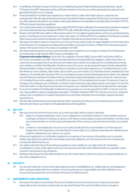- 14.3 A certificate of interest in respect of the Account, detailing the gross Positive Interest paid (as defined in clause 77.6 below), the DIRT deducted and the net Positive Interest on the Account will be generated annually and once generated issued to you on request.
- 14.4 Financial institutions in Ireland are required as a matter of law to collect information about a customer's tax arrangements. We will make all disclosures and provide all information required by the Revenue Commissioners and any other relevant authorities in accordance with applicable laws and regulations including without limitation FATCA, CRS and interest reporting regulations.
- 14.5 You must provide us with a completed and up to date CRS/FATCA self-certification form where there has been a change in your circumstances that may change the CRS/FATCA self-certification that you have previously provided to us.
- 14.6 Please note that KBCI are unable to offer taxation advice. For tax related queries please contact your professional tax advisor or the Revenue Commissioners. Further information on CRS and FATCA is available on the Revenue website https://www.revenue.ie/en/companies-and-charities/international-tax/aeoi/what-is-aeoi.aspx
- 14.7 We reserve the right to deduct monies from your Account in accordance with our legal obligations on the instructions of the Revenue Commissioners including without limitation on receipt of a Notice of Attachment issued pursuant to Section 1001 and/or 1002 of the Taxes Consolidation Act 1997.
- 14.8 We will provide all customer and account information as is required of us on receipt of a Notice from the Revenue Commissioners under Section 906A Taxes Consolidation Act. Customer Information Notice: Under Irish Tax Legislation (Section 891E, Section 891E and Section 891G of the Taxes Consolidation Act 1997 refers), financial institutions including KBCI are obliged to collect information on customer's tax arrangements. If you/the account holder and in certain circumstances the Controlling Persons has a tax residency outside of the Republic of Ireland or are a U.S. person, we are required to report (where relevant) the following details in respect of all accounts that you hold with us, and where relevant your Controlling Persons, to the Irish Revenue: name, address, date of birth, place of birth, account number, U.S. citizenship and/or jurisdiction(s) of tax residence, Tax Identification Number (TIN), account balance at year end and interest payments made in the calendar year. Irish Revenue will report this data to the tax authorities of each participating country where the customer and/ or Controlling Person is tax resident, or to the IRS in the case of U.S. tax residents and certain U.S. persons. If due to a change in circumstances, any certification on this form becomes inaccurate, please advise us promptly. You can find more information on http://www.revenue.ie/en/companies-and-charities/international-tax/aeoi/what-is-aeoi.aspx
- 14.9 If you are not resident in the Republic of Ireland for tax purposes you may be exempt from DIRT on the Account. It is your responsibility to seek any applicable exemption. The Bank will deduct DIRT from the Account of non-residents unless a fully completed non-resident declaration form and other verification documentation required has been received by us.
- 14.10 We will make all disclosures and provide all information required by the Revenue Commissioners and any other relevant authorities in accordance with applicable laws and regulations.

#### 15. SET-OFF

- 15.1 We may at any time and from time to time, as a continuous right, without notice or demand:
	- 15.1.1 apply in or towards satisfaction of any of your obligations to us (whether present or future, whether actual or contingent, whether incurred by you alone or with others or as principal or surety and whether or not then due) any monies (whether or not then due and irrespective of the currency of same) which we hold on your behalf; and
	- 15.1.2 combine or consolidate all or any of your accounts including the Account (whether or not then due and irrespective of the respective currencies thereof or the location of our offices) where they are maintained and whether maintained in your name or our name).
- 15.2 Where such application or combination requires the conversion of one currency into another, such conversion shall be calculated at a market rate of exchange customarily utilised by us in the usual course of our business (as conclusively determined by us).
- 15.3 Our rights under this Clause 15 are without prejudice to, and in addition to, any right of set-off, combination, consolidation or other similar right to which we may at any time be otherwise entitled (whether by operation of law, contract or otherwise) in any jurisdiction.
- 15.4 Nothing in this Clause 15 shall entitle the Bank to set-off monies held in a Client Account in or towards satisfaction of any of your obligations to us.

#### 16. SECURITY

16.1 Any security held now or at any future date shall be security for all liabilities to us. Additionally any and all legal and other costs associated with the completion of such security are your responsibility and will be debited to your Account as they arise and in so far as these Terms and Conditions permit.

#### 17. AMENDMENTS AND VARIATIONS

17.1 We reserve the right to amend these Terms and Conditions from time to time for such reasons as we deem reasonable and/or necessary. In particular we may amend these Terms and Conditions due to changes in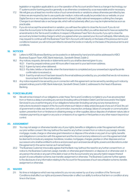legislation or regulation applicable to us or the operation of the Account and/or there is a change in technology, our IT systems and/or banking practice generally or as otherwise considered by us as reasonable and/or necessary.

- 17.2 We will give you at least two months notice of such amendments or variations unless otherwise permitted by law. Unless we are required by law to use a particular medium, notice will usually be provided via our website, on your Digital Service or we may place an advertisement in at least 2 daily national newspapers outlining the changes. Changes to an interest rate or exchange rate, which will not adversely affect you may be implemented as soon as practicable.
- 17.3 If you do not accept the amendment or variation, you will have the option to close the Account. If you do not close the Account prior to the date on which the changes come into effect you will be deemed to have accepted the amendments to the Terms and Conditions. In respect of Business Fixed Term Accounts, if you opt to close the account any broken funding charge to which you agreed when you opened your Account will apply. Alternatively you may request to continue with the Business Fixed Term Account until maturity on the basis of the previous terms and conditions however you will not be permitted to reinvest the funds on maturity on the basis of the previous terms and conditions.

#### 18. NOTICES

- 18.1 Letters to KBCI Business Banking can be posted to or delivered by hand and should be addressed to KBCI Business Support Team, KBC Bank Ireland plc., Sandwith Street, Dublin 2.
- 18.2 Any notices, requests, demands or statements sent to you shall be deemed given to you;
	- 18.2.1 if sent by prepaid ordinary post 48 hours after it was sent to your last known address;
		- 18.2.2 If given by hand, when delivered:
		- 18.2.3 if by telex, telefax or facsimile, when the transmission is completed and your answerback signal/facsimile confirmation is received; or
	- 18.2.4 if sent by email once it has been issued to the email address provided by you, provided that we do not receive a bounce back from this email address.
- 18.3 Any notice required to be served by you in connection with this agreement can be served by sending such notice by prepaid ordinary post to KBC Bank Ireland plc, Sandwith Street, Dublin 2, addressed to the Head of Business **Banking**

#### 19. FORCE MAJEURE

19.1 We will not be in breach of our obligations under these Terms and Conditions nor liable to you if we are prevented from or there is a delay in providing any service (including without limitation Debit Card Services and/or the Digital Services) to you or performing any of our obligations hereunder (including carrying out any transactions or instructions received in respect of the Account) where such failure or delay arises because of any act of God, fire, act of government or state, war, terrorism, civil commotion, insurrection, embargo, failure of computer or communication system, prevention from or hindrance in obtaining energy or other supplies, labour disputes of whatever nature, late or mistaken payment by an agent or any acts or omissions of our agents or third parties or any other reason beyond our control.

#### 20. ASSIGNMENT

- 20.1 You may not assign or otherwise transfer any of your rights, benefits or obligations under this agreement without our prior written consent. We may (without the need for any further consent from or notice to you) assign, transfer, mortgage, novate, charge or otherwise grant interests in or dispose of the whole or any part of our rights, benefits and obligations in connection with this agreement and the Account and any reference to us in this agreement shall be deemed to include any assignee, transferee, novatee, mortgagee, chargee, grantee or other disposee and our successors who shall be entitled to enforce and proceed upon and exercise all rights, powers and discretions under this agreement in the same manner as if named herein.
- 20.2 The Business Customer irrevocably agrees that the Bank may (without the need for any further consent from, or notice to, the Business Customer), assign, transfer, or otherwise grant interest in, or dispose of, or otherwise vest in any person the whole or any part of the debt or loan on the Account and/or any security held in respect thereof as part of a securitisation scheme, loan transfer, assignment or otherwise. The Business Customer further agrees to the disclosure of any information relating to the Account for the purposes of such securitisation scheme, transfer, assignment or otherwise.

#### 21. WAIVER

21.1 No time or indulgence which we may extend to you nor any waiver by us of any condition of the Terms and Conditions shall affect our rights and powers thereunder or affect our ability to enforce that term or condition at any time in the future.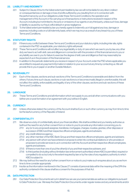#### 22. LIABILITY AND INDEMNITY

- 22.1 Subject to Clause 23 but to the fullest extent permissible by law we will not be liable for any direct, indirect or consequential loss or damage or loss of profits suffered by you resulting from or in connection with the performance by us of our obligations under these Terms and Conditions, the operation and management of the Account or the carrying out of transactions or instructions received in respect of the Account, including but not limited to, the acts or omissions of our agents or any third party, unless such loss, damage or liability is caused by our fraud, wilful default or gross negligence.
- 22.2 To the fullest extent permissible by law you hereby agree to indemnify us in full against any loss, damage or expense, including costs on a full indemnity basis, which we may incur as a result of any breach by you of these Terms and Conditions.

#### 23. STATUTORY RIGHTS

- 23.1 If there is any conflict between these Terms and Conditions and your statutory rights, including inter alia, rights contained in the PSD as applicable, your statutory rights will prevail.
- 23.2 These Terms and Conditions will not affect any legal liability or duty of care which we owe to you by law, any other duty we have to act with skill, care and diligence in connection with the provision of this financial service to you or any liability we owe to you for failure to exercise the degree of skill, care and diligence that may reasonably be expected of us in the provision of this financial service.
- 23.3 In addition to the periodic statements you receive in respect of your Account under the PSD where applicable you are entitled to request any payment information in relation to your account at any time by contacting us. We will provide this to you in paper or another Durable Medium.

#### 24. SEVERABILITY

24.1 Each of the clauses, sections and sub-sections of the Terms and Conditions is severable and distinct from the others. If at any time such clause, sections or sub-sections is or becomes invalid, illegal or unenforceable, this will not affect the validity, enforceability and legality of any of the other clauses, sections and sub-sections of these Terms and Conditions.

#### 25. LANGUAGE

25.1 These Terms and Conditions and all information which we supply to you and all other communications with you (either pre or post formation of an agreement with you) will be in English.

#### 26. CURRENCY

26.1 Unless otherwise stated, the currency of the Account shall be Euro or such other currency as may from time to time be the lawful currency of the Republic of Ireland.

#### 27. CONFIDENTIALITY

- 27.1 We observe a duty of confidentiality about your financial affairs. We shall be entitled and you hereby authorise us (without the need for any further consent from or notice to you) to provide any information concerning you to:
	- 27.1.1 any (or to any proposed) assignee, transferee, mortgagee, chargee, novatee, grantee, other disposee or successor of KBCI and their respective officers employees, agents and advisers;
	- 27.1.2 any credit reference agency;
	- 27.1.3 any other member of the KBC Bank Group and their respective officers employees, agents and advisers;
	- 27.1.4 any person with whom we have entered or propose to enter into contractual relations or who provides or proposes to provide services to us in connection with the Account and their respective officers employees, agents and advisers;
	- 27.1.5 (if there is more than one of you) the other(s) of you and their respective advisers, and
	- 27.1.6 to third parties (including without limitation law enforcement authorities) where KBCI is permitted, required or compelled to do so but only to the extent required by law or by the rules of any regulatory authority to which KBCI is subject to
- 27.2 We may (without the need for any further consent from or notice to you) make such enquires about you as we from time to time consider appropriate.
- 27.3 Insofar as the information mentioned in this Clause 27 consists of personal data within the meaning of the DPA the authority contained in this clause shall be a consent for the purposes of that Act.

#### 28. DATA PROTECTION

28.1 Our Data Protection Documents set out in detail how we use your personal data as well as our obligations pursuant to Data Protection Law. We keep the Data Protection Documents under regular review and any amendments and/or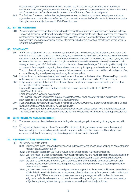updates made by us will be reflected within the relevant Data Protection Document made available online at www.kbc.ie. A hard copy may also be obtained directly from us. Should there be any conflict between these Terms and Conditions and the Data Protection Documents, these Terms and Conditions shall prevail.

28.2 The Business Customer confirms that they have provided each of the directors, officers, employees, authorised signatories and/or cardholders of the Business Customer with a copy of the Data Protection Notice which explains their rights as a data subject pursuant to Data Protection Law.

#### 29. ENTIRE AGREEMENT

29.1 You acknowledge that the application is made on the basis of these Terms and Conditions and is subject to these Terms and Conditions together with the authorisations, acknowledgements, instructions, mandates and consents contained in your application, the Business Deposit Rate Matrix and our Fees and Charges Booklet and that you have not relied on any representations or other information (whether oral or written) other than as set out herein to enter into this agreement.

#### 30. COMPLAINTS

- 30.1 At KBCI we pride ourselves on our customer service and it is our policy to ensure that all of your concerns are dealt with fairly and promptly. We aim to provide a quality and professional service to our customers and we welcome your suggestions as to how we can improve. If you have any complaint in relation to the services provided by us you should outline the nature of your complaint to us through our website at www.kbc.ie, by telephone on (01) 6646000 or in writing, addressing it to KBC Bank Ireland plc Complaints and Resolution Manager. This is strictly without prejudice to clause 4.7. Any complaints regarding the provision of services by third party, must be referred to the third party. The complaint will be fully investigated by us and a full response will be provided to you. While our investigation of any complaint is ongoing, we will provide you with a regular written update.
- 30.2 In respect of complaints regarding payment services we will respond at the latest within 15 Business Days of receipt of the complaint. In exceptional circumstances the final response will be issued within 35 Business Days.
- 30.3 In the event you are dissatisfied with the outcome of your complaint you may be entitled to refer your complaint to:- Republic of Ireland Customers:-

#### Financial Services and Pensions Ombudsman, Lincoln House, Lincoln Place, Dublin 2, D02 VH29. Telephone (01) 567 7000

Email:- info@fspo.ie, Website:- www.fspo.ie

The Financial Services Ombudsman may not investigate a matter which does not fall within its jurisdiction or has been the subject of legal proceedings before a court or tribunal.

- 30.4 If you are a limited company with a turnover of more than €3,000,000 you may make your complaint to the Central Bank of Ireland, New Wapping Street, PO Box 559, Dublin 1.
- 30.5 A copy of our complaints handling procedure is available on request, please contact the Complaints & Resolution Team on (01) 6646000 or download a PDF brochure from our website which outlines our complaints procedure in full.

#### 31. GOVERNING LAW AND JURISDICTION

- 31.1 The laws of Ireland apply as the basis for establishing relations with you prior to entering into any agreement with you.
- 31.2 You agree that the Account and these Terms and Conditions (including any amendments made thereto) shall be governed by and construed in accordance with the laws of Ireland and that the courts of Ireland shall have exclusive jurisdiction to resolve any disputes arising out of or in connection therewith.

#### 32. REPRESENTATIONS AND WARRANTIES

- 32.1 You hereby warrant to us that:-
	- 32.1.1 You have read these Terms and Conditions and understand the nature and risk of opening an Account and/or maintaining an Overdraft facility.
	- 32.1.2 all information supplied by you to us is true, accurate and complete in all material respects;
	- 32.1.3 you have made full disclosure to us of all information relating to you and your business affairs as are material or ought to be made known to any bank proposing to provide an Account and/or Overdraft Facility to you;
	- 32.1.4 there are no pending or to the best of your knowledge, information and belief threatened actions or legal proceedings before any court or tribunal against you nor are there any insolvency proceedings pending or threatened against you;
	- 32.1.5 you have never been made bankrupt and you have never applied for a Protective Certificate or been subject to a Debt Relief Notice, Debt Settlement Arrangement or Personal Insolvency Arrangement under the Personal Insolvency Act 2012 (as amended), and have never made any arrangement with creditors, had any court judgments for debt made against you or been in arrears with any existing or previous loan, or have been the subject of any analogous insolvency processes or proceedings in another jurisdiction;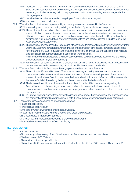- 32.1.6 the opening of an Account and/or entering into the Overdraft Facility and the acceptance of the Letter of Sanction and these Terms and Conditions by you and the performance of your obligations thereunder will not violate any applicable law or regulation or any agreement or document to which you are a party or which is binding on you; and
- 321.7 there has been no adverse material change in your financial circumstances, and
- 321.8 you have no criminal convictions.
- 32.2 Where the Accountholder is a corporate entity, you hereby warrant and represent to the Bank that
	- 32.2.1 You are duly incorporated and validly existing under the law of your jurisdiction of incorporation;
	- 32.2.2 The Application Form and/or Letter of Sanction has been duly and validly executed and does not contravene your constitutional documents and all consents necessary for the entering into and performance of any obligation in connection with opening and operation of an Account and/or the Letter of Sanction have been obtained, are in full force and effect and will remain in such force and effect at all times during the term of the Account and/or of the Overdraft.
	- 32.2.3 The opening of an Account and/or the entering into and the performance of any Letter of Sanction is within the Business Customer's corporate powers and has been authorised by all necessary corporate actions, does not contravene any law or regulation, or contractual restrictions binding on you and constitute legal valid and binding obligations on you enforceable in accordance with their terms; No filings, recordings or registrations with any public or official body or agency are necessary for the validity and enforceability of any Letter of Sanction;
	- 32.2.4 Full disclosure has been made to KBCI of all facts in relation to the Accountholder which ought properly to be made known to a lender contemplating the provision of facilities to an Accountholder.
- 32.3 Where the Account is a Joint Account you hereby represent and warrant to the Bank that:
	- 32.3.1 The Application Form and/or Letter of Sanction has been duly and validly executed and all necessary consents and authorisation to enable or entitle the Accountholder to open and operate an Account and/or to enter into any Letter of Sanction have been obtained and are in full force and effect and will remain in such force and effect at all times during the term of the Account and/or the Letter of Sanction.
	- 32.3.2 The terms and conditions applicable to the Account and/or Letter of Sanction are binding on the joint Accountholders and the opening of the Account and/or entering into the Letter of Sanction does not contravene any terms of co-ownership or partnership agreement or law or any other contractual restrictions binding upon you.
	- 32.3.3 you are not (and would not with the giving of notice or lapse of time or the satisfaction of any other condition or any combination thereof) be in breach of or in default under the co-ownership or partnership agreement;
- 32.4 These warranties are deemed to be given and repeated on:
	- (i) making an application,
		- (ii) the start date of an Account,
		- (iii) the date on which any interest is credited to an Account,
		- (iv) each monthly payment date where the Account is a Credit Card Account,
		- (v) the acceptance of the Letter of Sanction,
		- (vi) on each day that interest is payable under the Overdraft Facility and,
		- (vii) on the date of any renewal of the Overdraft Facility.

#### 33. CONTACT US

- 33.1 You can contact us-
	- (a) i n person by calling into any of our offices the location of which are set out on our website; or
	- (b) by telephone at 1800 804 414; or
	- (c) by email at business.support@kbc.ie ; or
	- (d) by writing to KBCI Business Support Team, KBC Bank Ireland Plc., PO Box 8666, Sandwith Street, Dublin 2.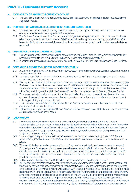## **PART C - Business Current Account**

#### 34. AVAILABILITY OF A BUSINESS CURRENT ACCOUNT

34.1 The Business Current Account is only available to a Business Customer whose principal place of business is in the Republic of Ireland.

#### 35. PURPOSE FOR WHICH A BUSINESS CURRENT ACCOUNT CAN BE USED

- 35.1 The Business Current Account can only be used to operate and manage the financial affairs of the business. For example it may be used to pay wages and office expenses.
- 35.2 The Business Current Account is a Euro account and lodgements to or payments from the current account in any other currency are not permitted. Non-euro Debit Card withdrawals may be made in accordance with Clause 59 below for which additional fees and charges will apply, however the withdrawal of non-Euro cheques or drafts is not permitted.

#### 36. OPENING A BUSINESS CURRENT ACCOUNT

- 36.1 To open a Business Current Account, you must complete an Application Form. You can submit your application by post, by delivering it to one of our offices or by hand-delivering it to a staff member of KBCI.
- 36.2 In operating and managing a Business Current Account, you may avail of Debit Card Services and Digital Services.

#### 37. OPERATING A BUSINESS CURRENT ACCOUNT GENERALLY

- 37.1 At all times, the Business Current Account must be operated in credit unless we have a separate agreement with you for an Overdraft Facility.
- 37.2 You must ensure that you have sufficient funds in the Business Current Account to meet all payments to be made from the Business Current Account.
- 37.3 We may at our absolute discretion decide whether to execute a transaction where the available Cleared Funds in the Business current account are less than the amount of that transaction. Where we decide to execute a transaction or any number of transactions in these circumstances this does not amount to any commitment by us to do so in the future. Fees and charges will apply to the Business Current Account as set out in our Fees and Charges Booklet.
- 37.4 Where on a particular day, there are insufficient Cleared Funds in the Business Current Account available to meet all transactions on that day, we may, at our absolute discretion prioritise transactions in whatever order we deem fit, including prioritising any payments due to us.
- 37.5 There is no cheque book facility on the Business Current Account but you may request a cheque from KBCI in accordance with Clause 42.2 below.
- 37.6 If at any stage you close your Business Current Account, all other products or benefits that require you to have or use a Business Current Account will cease.

#### 38. LODGEMENTS

- 38.1 Monies can be lodged to a Business Current Account by way of electronic fund transfer / Credit Transfer. Lodgements in a currency other than Euro will not be accepted. Monies lodged to the Business Current Account by electronic fund transfer / Credit Transfer will be credited to the Business Current Account on the Business Day they are received by us . All lodgements are subject to examination by us and we may make such inquiries regarding a Lodgement as we deem necessary.
- 38.2 You can lodge a cheque or banker's draft to a Business Current Account by sending it by post to KBC Current Account Team, KBC Bank Ireland plc., PO Box 12421, Sandwith Street, Dublin 2 or delivering it by hand to one of our offices.
- 38.3 Where multiple cheques are hand-delivered to our offices the cheques to be lodged must be placed in a sealed Bulk Lodgement Envelope supplied by us and you will be provided with a Bulk Lodgement Receipt in return. You are solely responsible for providing accurate and complete lodgement details and ensuring the contents of the Bulk Lodgement Envelope is correct and the amount and value of cheques we find contained in the Bulk Lodgement Envelope shall be conclusive.
- 38.4 Until we process the cheques in the Bulk Lodgement Envelope, they are held by us at your risk.
- 38.5 You may not draw against a cheque or banker's draft which has been lodged to the Business Current Account until the cheque/ bankers draft has cleared through the payment system. The cheque clearing period only commences once the cheque is received at our Head Office in Sandwith Street. From the date KBCI receives the cheque/bankers draft in Sandwith Street, it generally takes 7 business days to clear. We may, in our sole and absolute discretion, allow a shorter clearance period, in exceptional circumstances. The amount of your cheque/bankers draft will be credited to the Business Current Account on lodgement and be included in the Business Current Account balance. If a cheque/bankers draft is returned unpaid or recalled by the paying bank, we shall debit the Business Current Account with the amount of the cheque/bankers draft, and any interest we have paid on it and any fees or charges payable.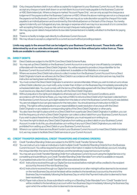- 38.6 Only cheques/bankers draft in euro will be accepted for lodgement to your Business Current Account. We can accept any cheque or bank draft drawn on an Irish Bank Account and made payable to the Business Customer or KBC Bank Ireland plc. Where a cheque is marked "Account Payee Only", we can only accept the cheque as a lodgement if the payee is either the Business Customer or KBCI. Where the above markings are not on a cheque and the payee is not the Business Customer or KBCI, then we may at our sole discretion accept the cheque if it is made payable to an individual/person and is endorsed by this individual/person on the back of the cheque. You hereby agree to indemnify us in full against any loss, damage or expense which we may incur as a result of or in connection with accepting third party cheques. We cannot accept cheques made payable to cash.
- 38.7 We may pay a post-dated cheque before its due date if presented and no liability will attach to the Bank for paying same.
- 38.8 There is no facility to lodge cash directly to a Business Current Account.
- 38.9 We may refuse to accept a Lodgement to a current account without providing a reason.

Limits may apply to the amount that can be lodged to your Business Current Account. These limits will be determined by us at our sole discretion and may vary from time to time without prior notice from us. These limits are available to customers on request.

#### 39. DIRECT DEBITS

- 39.1 Direct Debits are subject to the SEPA Core Direct Debit Scheme Rules.
- 39.2 You may set up Direct Debit(s) on the Business Current Account on a recurring or one off basis by completing a Mandate with the relevant Direct Debit Originator. You will be required to provide a Unique Identifier for the Business Current Account which is on your statement, is available on the Website or on request.
- 39.3 Where we receive Direct Debit instructions to collect monies from the Business Current Account from a Direct Debit Originator's bank we will execute the Direct Debit in accordance with that instruction and we may treat the instruction as having been authorised by you.
- 39.4 You must contact the Direct Debit Originator to amend or cancel a Mandate. Where you wish to instruct us to refuse a Direct Debit collection you must notify us by no later than 4.00pm on the Business Day immediately preceding the scheduled debit date. You must comply with the terms of the Mandate agreed with the Direct Debit Originator and must resolve any disputed Collections directly with the Direct Debit Originator.
- 39.5 Without prejudice to the rights and obligations otherwise set out in these Terms and Conditions, and in accordance with the Scheme Rules, you may instruct KBCI to refund a Direct Debit which has been collected from the Business Current Account up to eight weeks from the date on which the Business Current Account was debited. You are not obliged to but can give reasons for the instruction. You should send such instruction to KBCI in writing. This right is without prejudice to your responsibilities to seek resolution of any issue with the Direct Debit Originator or any related or corresponding rights of the Direct Debit Originator or other party.
- 39.6 You also have the right to place a limit on a Direct Debit from a particular Direct Debit Originator. In addition, you can limit the frequency at which a Direct Debit Originator can collect a direct debit from your Business Current Account. If you wish to place these limits on a Direct Debit Originator, you must request so in writing to us.
- 39.7 You have the right to block any Direct Debit Originators from setting up a direct debit on your Business Current Account. In order to do this, you should advise us in writing of any such Direct Debit Originators you wish to be prohibited from setting up a Direct Debit on your Business Current Account.
- 39.8 Where in our opinion there are insufficient funds in your Business Current Account to meet Direct Debits mandated to it, we may cease to facilitate Direct Debit services on your Current Account.

#### 40. CREDIT TRANSFER (INDIVIDUAL CREDIT TRANSFERS AND STANDING ORDERS)

- 40.1 Credit Transfers/Standing Orders are subject to the SEPA Credit Transfer Scheme Rules.
- 40.2 You can instruct us to make an individual or bulk/multiple Credit Transfer(s)/Standing Order(s) from the Business Current Account. You will be required to provide certain information in relation to the beneficiary account, including the Unique Identifier, the name of the beneficiary and the beneficiary's payment account number.
- 40.3 You may set up a Credit Transfer/Standing Order from a Business Current Account using the Digital Service or by completing and submitting to us a Credit Transfer/Standing Order Mandate Form which is available on request.
- 40.4 A completed instruction for a Credit Transfer will be executed as follows:
	- 40.4.1 Instructions received through our Digital Service received before midnight will be credited to the recipient account by the end of the next Business Day;
	- 40.4.2 Instructions received through our Digital Service received on or after midnight will be deemed to be received on the next Business Day and at the latest will be credited to the beneficiary's account by the end of the Business Day immediately following the Business Day on which the Payment Instruction is deemed to have been received by us.
	- 40.4.3 Paper instructions (i.e. those submitted in writing on a Standing Order Mandate Form / Credit Transfer form) will be credited to the beneficiary's account within two Business Days immediately following the Business Day upon which the written instruction is deemed to be received by us.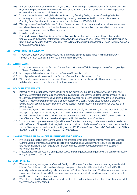- 40.5 Standing Orders will be executed on the day specified in the Standing Order Mandate Form (or the next business day if the day specified is not a business day). You may specify in the Standing Order Mandate form a specific date or dates when the transfer should be executed.
- 40.6 You can suspend / amend a single incidence of a recurring Standing Order, or cancel a Standing Order, by contacting us up to 4.00 p.m. on the Business Day preceding the date specified for payment of the relevant Standing Order. Such instruction must be made by contacting us at 1800 804 414.
- 40.7 We may cancel a Standing Order on a Business Current Account if it has been unpaid on more than one occasion and where it is reasonable to consider that the available funds on the current account are unlikely to be sufficient to meet future payments under the Standing Order.
- 40.8 Individual Credit Transfers Daily limits may apply on the Business Current Account in relation to the amount of funds that can be transferred and the number of transfers that can be done on any one day. These limits will be determined by us at our sole discretion and may vary from time to time without prior notice from us. These limits are available to customers on request.

#### 41. INTERNATIONAL PAYMENTS

41.1 We will take all reasonable steps to ensure that all International Payments are made in a timely manner. Any timeframe for such payment that we may provide is indicative only.

#### 42. WITHDRAWALS

- 42.1 You may withdraw cash from a Business Current Account from any ATM displaying the MasterCard Logo subject to Cleared Funds and daily limits.
- 42.2 No cheque withdrawals are permitted from a Business Current Account.
- 42.3 It is not possible to withdraw cash from a Business Current Account at any of our offices.
- 42.4 We may take such measures as are reasonably necessary in order to verify your identity and or veracity of any withdrawal instruction prior to the execution of your instruction.

#### 43. ACCOUNT STATEMENTS

- 43.1 Information on the Business Current Account will be available to you through the Digital Services. In addition, if quarterly e-statements are available as a feature you will be able to access these via the Digital Service. If you elect to receive paper statements these will be issued once a quarter by post to the address provided to us on account opening unless you have advised us of a change of address. Until such time as e-statements are exclusively available we will issue you a paper statement once a quarter. You may request that statements be provided on a monthly basis.
- 43.2 You can review your account information online and upon receipt of your statement you should examine it carefully and report any disputed transactions, errors or omissions to us. You must notify us without undue delay on becoming aware of an unauthorised or incorrectly executed transaction in accordance with Clause 62 and 63 of these Terms and Conditions and as otherwise provided for in these Terms and Conditions.
- 43.3 You may request duplicate statement(s) of a Business Current Account at any time however a fee (in accordance with our Fees and Charges Booklet) may be incurred and debited to the Business Current Account in respect of this service. You may request a statement by writing to us at KBCI Business Support Team, KBC Bank Ireland plc., PO Box 12421, Sandwith Street, Dublin 2 or phoning us at 1800 804 414.

#### 44. UNAPPROVED DEBIT BALANCES/UNAUTHORISED POSITIONS

- 44.1 In the event that the Business Current Account has an unapproved debit balance or for any reason the Business Current Account enters an unauthorised position, we may immediately require you to repay the debit balance and you are liable for the debt together with any fees, charges, penalties and surcharge interest payable in connection therewith.
- 44.2 In accordance with our Fees and Charges Booklet we may charge fees, surcharge interest and penalties in respect of any unapproved debit balance.

#### 45. DEBIT INTEREST

- 45.1 Where we have agreed to grant an Overdraft Facility on a Business Current Account you must pay interest (debit interest). Debit interest is calculated and charged as agreed in the Letter of Sanction for the Overdraft Facility, on a daily basis on the cleared daily debit balance on the Business Current Account. That is, allowance is not made for cheques, drafts or other credits lodged until value has been received or for credit interest accrued but not yet credited to the Business Current Account.
- 45.2 Where the Overdraft Facility is authorised the debit interest rate will be advised in the Letter of Sanction provided at the time the overdraft is agreed.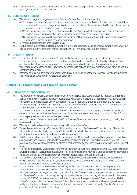45.3 Debit interest will be debited to the Business Current Account every quarter (or such other intervals as may be agreed) in arrears and on final payment.

#### 46. SURCHARGE INTEREST

- 46.1 We will also charge surcharge interest on a Business Current Account in the event that:
	- 46.1.1 the overdrawn balance on the Business Current Account is in excess of your authorised overdraft limit. In this case we will charge surcharge interest on the difference between the agreed overdraft limit and the amount by which the Business Current Account is overdrawn:
	- 46.1.2 there is an overdrawn balance on the Business Current Account after the repayment has been demanded, and any period for repayment expired, or after the term of the overdraft facility has expired.
	- 46.1.3 You overdraw a Business Current Account that does not have an agreed Overdraft Facility on the amount by which the Business Current Account is overdrawn.
- 46.2 Surcharge interest is in addition to Debit Interest.
- 46.3 Further details of surcharge interest are available in our Fees and Charges Booklet which is available from any of our offices online at our Website or by contacting us at 1800 804 414 or business.support@kbc.ie

#### 47. CREDIT INTEREST

- 47.1 Credit interest on the Business Current Account will be calculated on the daily balance outstanding on Cleared Funds and shall accrue from day to day and will be calculated on the basis of the actual number of days elapsed and the number of days in a year as from time to time corresponds with the normal banking practice which for Euro is presently based on a 365 day year. Any reference to 'per annum' or payments of an annual nature shall be construed accordingly.
- 47.2 Interest is payable quarterly and will be credited to the Current Account on the first Business Day of each quarter or such other dates as we may at our discretion determine.

## **PART D - Conditions of Use of Debit Card**

#### 48. USE OF DEBIT CARD GENERALLY

- 48.1 You may apply for a Debit Card for use in connection with the Business Current Account. The Debit Card and the Debit Card Services must only be used in accordance with these Conditions of Use and same may be varied from time to time by the introduction of new conditions. The use of the Debit Card and the provision of Debit Card Services is also governed by banking law and practice generally, and will be subject to fees and charges as set out in the Fees and Charges Booklet and the Terms and Conditions.
- 48.2 The Debit Card is for the sole use of the Cardholder to whom it is issued and is not transferable. Each Debit Card can only be linked to the Business Current Account for which it was issued. You may not provide your Debit Card to another party to execute transactions on your behalf.
- 48.3 A maximum of two Debit Cards can be issued for a Business Current Account at account opening or during the business relationship.
- 48.4 We may at our discretion refuse to accept a request to issue a Debit Card.
- 48.5 Transactions carried out by a Cardholder will reduce the balance on the Business Current Account. Please note that Cardholders will be entitled to use their Debit Card to the full extent permissible by these Terms and Conditions and unless otherwise provided by the Accountholder in writing.
- 48.6 A daily maximum transaction limit applies to the operation of a Debit Card. This limit will be determined by us at our sole discretion and may vary from time to time without prior notice from us. This limit is available on request. ATM providers and retailers may apply their own limits to cash withdrawals and these may be lower than the daily limit set by us.
- 48.7 The Accountholder is fully responsible for all transactions carried out by the Cardholders and KBCI does not accept any responsibility or liability in respect to same. The Accountholder must inform the Cardholders of these terms and conditions and each Cardholder is deemed to have accepted these Terms and Conditions.
- 48.8 The Debit Card is and remains the property of KBCI. We reserve the right at any time to cancel, suspend, recall or retain the Debit Card. We may at our sole discretion refuse to re-issue, renew or replace any Debit Card. A fee may be charged for the replacement of a Debit Card.
- 48.9 You should ensure that you have sufficient funds in your Business Current Account to cover any payments or transactions you enter into using the Debit Card. The fact that you may be issued with a Debit Card does not afford you any credit privileges in connection with the Business Current Account or any entitlement to overdraw on your Business Current Account except as may be provided by a separate credit agreement entered into between you and KBCI. KBCI may refuse to act on any instruction received in respect of any ATM services without liability to the Cardholder or Accountholder where sufficient cleared funds are not available or where an agreed overdraft facility is not in place on the account (where applicable), or where such an overdraft facility (if in place) would be exceeded if KBCI acted on the instruction.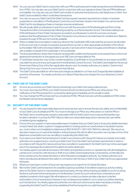- 48.10 You can use your Debit Card in conjunction with your PIN to authorise point of sale transactions and withdrawals from ATM's. You may also use your Debit Card in conjunction with your signature where Chip and PIN facilities are not available. You may also use your Debit Card number to authorise transactions by mail, telephone or online. Your Debit Card is enabled to effect contactless transactions.
- 48.11 You may not use your Debit Card if the Debit Card has expired, has been reported lost or stolen or has been suspended or cancelled or if the Business Current Account has been closed or terminated. You cannot use the Debit Card for any illegal purchase or improper purpose whatsoever.
- 48.12 We will usually debit your Business Current Account with the amounts of ATM withdrawals and Point of Sale Transactions within one business day following receipt by us of the transaction record. The entries relating to an ATM withdrawal or Point of Sale Transaction recorded in your Business Current Account are conclusive evidence that the withdrawal or Point of Sale Transaction occurred as so recorded save for manifest error. Balance enguiries through ATM's are not currently available.
- 48.13 Where a retailer becomes liable to make any refund to the Cardholder, KBCI will credit the amount to be refunded to the account only on receipt of a properly issued refund voucher or other appropriate verification of the refund by the retailer. KBCI will not be responsible for goods or services which it does not supply and will have no dealings with a retailer on behalf of the Cardholder or Accountholder.
- 48.14 The financial institution where their funds are received after a debit card transaction is processed have control over applying the transaction to the payee's account. KBCI are not responsible for this.
- 48.15 A Cardholder transaction may not be countermanded by a Cardholder or Accountholder for any reason and KBCI may debit the amount of any such payment to the Business Current Account. The Debit Card is liable for the annual Government Stamp Duty at the then applicable rate per card. You hereby authorise us to deduct Government Stamp Duty from your Current Account when they fall due.
- 48.16 The Debit Card is also liable for other fees and charges as detailed in our Fees and Charges Booklet available at www.kbc.ie/business. You hereby authorise us to deduct these fees and charges from your Business Current **Account**

#### 49. FIRST USE OF THE DEBIT CARD

- 49.1 As soon as you receive your Debit Card you should sign your Debit Card using a ball point pen.
- 49.2 You must memorise the PIN for your Debit Card and should not disclose the PIN to any other person. The notification of the PIN received from us should be destroyed immediately as it is not safe to retain.
- 49.3 You may change the PIN we have sent you at selected ATM's. PIN services are currently available at ATM's where the MasterCard symbol is displayed.

#### 50. SECURITY OF THE DEBIT CARD

- 50.1 You are required to take reasonable steps and to exercise due care to ensure the security, safety and confidentiality of your Debit Card, its details and PIN. You must not divulge your PIN to any other person or note the PIN on the Debit Card or anything else carried or associated with the Debit Card in such a way as third parties may be able to decipher or access the PIN. Failure to take such reasonable steps and or exercise due care will be considered gross negligence.
- 50.2 If at any time you suspect or have reasonable reason to believe that your Debit Card or its security details have been compromised, lost, stolen, copied or misappropriated or is being used in an unauthorised or fraudulent manner, you must contact us immediately by telephone at 1800 93 62 87 (+353 1 634 7963 from abroad.) We may at our discretion require you to submit the details in writing however this will not affect any action we may take on foot of the telephone conversation such as cancelling or suspending the Debit Card.
- 50.3 If you report your Debit Card as being lost or stolen in accordance with Clause 50.2 above you hereby irrevocably authorise us to suspend and or cancel your Debit Card. Once the Debit Card has been reported lost or stolen in accordance with Clause 50.2 above and we have cancelled or suspended it, the Debit Card may not be used again even if it is subsequently located and if located it should be destroyed.
- 50.4 You hereby agree to provide all necessary information and assistance and to co-operate fully with all investigations carried out in connection with the loss or theft of your Debit Card including those conducted by us internally and those carried out by the Garda Síochána or other third party investigative authority. You hereby authorise us to inform and disclose all relevant information in connection with the loss or theft of your Debit Card to any appropriate third party.
- 50.5 Where you have been a victim of fraud, we may require you to report it to An Garda Síochána.
- 50.6 We monitor Debit Card transactions for possible suspicious activities. If we believe suspicious activity is taking place or the Debit Card is or may be being used improperly, we may without having any liability to you for so doing, decline to authorise further transactions on the Business Current Account until we have contacted you and satisfied ourselves in that regard. We will endeavour to contact you before we take a decision to decline authorisation of such transactions however it may not always be possible for us to contact you before declining such transactions. You hereby agree and authorise us to take such actions as we deem necessary including suspending the Debit Card if it cannot be established that the transaction is a valid transaction.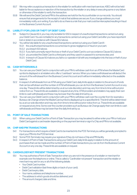- 50.7 We may refer a suspicious transaction to the retailer for verification with merchant services. KBCI will not be held liable for the acceptance or rejection of the transaction by the retailer or any delay in executing same or any failure or otherwise of the retailer to verify the transaction.
- 50.8 We will send the Debit Card and PIN to the address we hold for the Accountholder on our records. You should ensure that arrangements for the receipt of mail at that address are secure. If you change address you must immediately notify us in writing. If you fail to do so there is a risk that your mail could be intercepted resulting in fraud on the Business Current Account.

#### 51. LIABILITY FOR LOSS OR THEFT OF DEBIT CARD

- 51.1 Subject to Clause 62.4, you may only be liable for €50 in respect of unauthorised transactions carried out using your Debit Card. You are not liable for any transactions carried out using your Debit Card after you have reported it lost or stolen in accordance with Clause 50.2 above.
- 51.2 You will be fully liable for any unauthorised transactions carried out using your Debit Card if:-
	- 51.2.1 the unauthorised transactions occurred due to gross negligence or fraud on your part;
	- 51.2.2 you breach 50.1 above;
	- 51.2.3 if you fail to promptly report the loss or theft of your Debit Card to us in accordance Clause 50.2 above;
	- 51.2.4 you provided the Debit Card to a third party and they used it or passed it to someone else; and
	- 51.2.5 in breach of Clause 50.4 above you fail to co-operate in full with any investigation into the loss or theft of your Debit Card.

#### 52. CASH WITHDRAWALS

- 52.1 You can use your Debit Card in conjunction with your PIN to withdraw cash from an ATM where the MasterCard symbol is displayed or at retailers who offer a "cashback" service. When you make a withdrawal we will deduct the amount of the withdrawal from the Business Current Account and it will be immediately reflected on the available balance.
- 52.2 In respect of withdrawals from an ATM using your Debit Card, daily limits apply in relation to the amount of funds that can be withdrawn and the number of ATM withdrawals you can do from the Business Current Account on any one day. These limits will be determined by us at our sole discretion and may vary from time to time without prior notice from us. These limits are available on request at any time. ATM providers and retailers may apply their own limits to cash withdrawals and these may be lower than the daily limit set by us.
- 52.3 You can use your Debit Card in conjunction with your PIN to withdraw cash over the counter from for example a Bureaux de Change where the MasterCard symbol is displayed up to a specified limit. This limit will be determined by us at our sole discretion and may vary from time to time without prior notice from us. These limits are available on request at any time. Some over the counter providers such as Bureaux de Change apply their own limits to cash withdrawals and these may be lower than the daily limit set by us.

#### 53. POINT OF SALE TRANSACTIONS

53.1 When using your Debit Card for a Point of Sale Transaction you may be asked to either enter your PIN or hold your Debit Card against a card reader depending on the payment terminal or sign if a Chip and PIN is not available.

#### 54. CHIP AND PIN TRANSACTIONS

- 54.1 For transactions which require a Debit Card to be inserted into the POS Terminal you will be generally prompted to input your PIN into the POS terminal.
- 54.2 Some POS Terminals may require your signature if they do not have a Chip and PIN facility.
- 54.3 In respect of Point of Sale Transactions using your Debit Card, daily limits apply in relation to the amount of purchases that can be made and the number of Point of Sale transactions you can do from the Business Current Account on any one day. These limits are available on request.

#### 55. CARDHOLDER NOT PRESENT TRANSACTIONS

- 55.1 You may authorise a Point of Sale Transaction when you are not in the presence of a retailer or merchant for example over the telephone or online. This is called a "Cardholder not present" transaction and the retailer or merchant may ask for any or all of the following details:
	- Your Debit Card number,
	- Debit Card validation (last three digits on back of your card).
	- Debit Card expiry date,
	- Your name, address and telephone number,
	- The address to which goods should be delivered, and
	- The amount charged, date and time.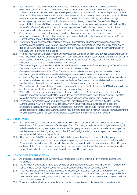- 55.2 Some retailers or merchants may require you to use MasterCard SecureCode to authorise a Cardholder not present transaction. In order to use the service, the Cardholder must have a valid mobile phone number registered to the Account. A unique one-time 8 digit numeric passcode will be sent via SMS to your mobile phone at the time authorisation is requested by the merchant. You must enter the unique one-time passcode when prompted. There is no requirement to register for MasterCard SecureCode. We bear no responsibility for any loss, damage, or expense you may incur as a result of authorising a transaction through MasterCard SecureCode. It is your responsibility to ensure KBCI holds your up to date mobile phone number to ensure you have continued use of the MasterCard SecureCode service. If we authorise a payment as a Cardholder not present transaction this will immediately reduce the available balance in the Business Current Account by the payment amount.
- 55.3 Some retailers or merchants will apply for pre authorisation of a payment when you give them your Debit Card number e.g. booking a hotel room. The pre authorisation amount will reduce the available balance on the Business Current Account as set out in Clause 55.2 above.
- 55.4 We have no obligation, responsibility or liability to you or the retailer/merchant concerning goods or services purchased using the Debit Card. You should contact the retailer or merchant if you have any query, complaint or dispute about the goods and services they supply to you. We will not negotiate or enter into any communication with a retailer or merchant on your behalf.
- 55.5 In some circumstances a retailer or merchant may require an authorisation from us to permit a particular transaction which exceeds the transaction limits to proceed. These transaction limits are set by the retailer and are in addition to any transaction limits we may have. The granting of this authorisation is at our discretion and has the effect of reducing the credit balance on the Business Current Account.
- 55.6 We have no obligation, responsibility or liability to you if a retailer or merchant refuses to accept your Debit Card or if the retailer or merchant fails to contact us for authorisation where required.
- 55.7 Once you have authorised a Point of Sale Transaction, it cannot be subsequently revoked (whether or not a voucher is signed or a PIN number verified) Where you have authorised a retailer or merchant to set up a continuous Payment Instruction on your Debit Card and you wish to cancel it, you must send a written cancellation notice to the retailer or merchant and keep a copy of the letter. Service of such a cancellation notice on a retailer or merchant shall not constitute, or be deemed to constitute, service of any such notice on us.
- 55.8 When a Point of Sale Transaction is authorised by use of a Debit Card and PIN, the use of the PIN will be regarded as conclusive evidence that the Point of Sale Transaction was authorised by you.
- 55.9 When a Cardholder not present transaction is authorised by the use of MasterCard SecureCode, this will be regarded as conclusive evidence that the Cardholder not present transaction was authorised by you. Use of the MasterCard SecureCode by you is subject to the terms and conditions of MasterCard SecureCode.
- 55.10 If a retailer or merchant initiates a refund in respect of a Point of Sale Transaction carried out on the Business Current Account we will only credit the Business Current Account with the amount due upon receipt and processing of the refund amount by us from the retailer or merchant. For non-euro Transactions the amount actually credited to the Business Current Account may, following deduction of relevant fees and charges, differ from the original amount of the Point of Sale Transaction processed on the Business Current Account.

#### 56. DIGITAL WALLETS

- 56.1 From time to time, through partnerships with other third parties the use of your Debit Card as a digital card may be facilitated. This means that we may facilitate your Debit Card being added to or kept in a digital wallet. A digital wallet is any electronic payment system operated by a third party service provider and is available on compatible mobile devices or watches. If you register your Debit Card for a digital wallet you can use your card stored on it to make payments to allow you pay for items.
- 56.2 If the use of your Debit Card as a digital card is facilitated, you will be asked to consent to the third party service provider's terms and conditions which govern your registration on, operation and use of the digital wallet. You acknowledge and agree that to the extent permissible by law, neither KBCI nor any member of the KBC Group shall be liable to you or any third party in respect of any loss (howsoever it arose) that was suffered or incurred by you or a third party, which arises in connection with your use of the digital wallet.

#### 57. CONTACTLESS TRANSACTIONS

- 57.1 A contactless transaction is one where you are not required to sign or enter your PIN in order to authorise the transaction.
- 57.2 You can use the Debit Card to make purchases for small amounts without using the Chip and PIN. The use of the Debit Card for a contactless transaction will be conclusive evidence that it is authorised by you.
- 57.3 When you make a payment using a contactless card reader you must place your Debit Card against the reader in the retail outlet. The Debit Card will be detected and the payment is completed without you entering your PIN. From time to time, for your security, we may ask you to conduct a Chip and PIN transaction in which case you must insert your card and enter your PIN.
- 57.4 There is a maximum limit on the value of each contactless transaction which is determined by us at our sole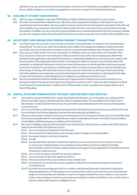discretion and may vary from time to time without prior notice from us. These limits are available on request at any time. In addition retailers or merchants may apply their own limits in respect of contactless transactions.

#### 58. AVAILABILITY OF DEBIT CARD SERVICES

- 58.1 KBCI is under no obligation to provide ATM facilities or Debit Card Services at any time or any location.
- 58.2 We shall not be responsible or liable for any malfunction, fault, suspension, breakdown, interruption or any other operational or technical problem with any system or service used to process transactions using Debit Cards. We may without liability to you suspend or discontinue Debit Card Services for such period of time as is required to remedy the problem. In addition we may at any time, where we believe at our absolute discretion that there is a real or potential security risk, suspend or discontinue the Debit Card Services until such security risk is resolved without liability to you.

#### 59. USE OF DEBIT CARD ABROAD OR IN FOREIGN CURRENCY TRANSACTIONS

- 59.1 Your Debit Card may be used in most countries worldwide. You should notify us in advance if you are planning to travel abroad. The use of your Debit Card while abroad is subject to local legal and regulatory requirements and your Debit Card may not be used in a foreign country for a purpose which is illegal under the laws of that country.
- 59.2 If you use your Debit Card for a non-euro transaction or withdraw cash in a country that is not a member of the Euro, the amount of any non-euro transaction will be converted to euro at the rate of exchange (as determined by MasterCard) applicable on the date the transaction or withdrawal is debited to your Account in accordance with the procedures of the applicable Scheme Rules. Accordingly the date of conversion may not be the date of the transaction or withdrawal. We have no control over when the transaction or withdrawal will actually be processed by the Scheme Rules. For transactions or withdrawals in EEA countries we can provide you with an indicative rate of exchange on the day of the transaction if you contact us, but as outlined above, this may not be the actual rate that will be applied as exchange rates may fluctuate between the date of a transaction or withdrawal and the date on which the transaction or withdrawal amount is debited to your Business Current Account.
- 59.3 Non Euro transactions will attract additional fees and charges and are charged to your account as they occur, typically the date the transaction is posted to your Business Current Account. These fees and charges are outlined in our Fees and Charges Booklet. In addition some ATM providers in other countries may charge a fee for use of their ATM facilities.

#### 60. CANCELLATION AND TERMINATION OF THE DEBIT CARD AND DEBIT CARD SERVICES

- 60.1 If you wish to cancel the Debit Card or cease using Debit Card Services, you must advise us in writing and then destroy the Debit Card by cutting through the chip and magnetic stripe. The cancellation of the Debit Card or the cessation of Debit Card Services on your Account will not automatically result in the closure of the Business Current Account.
- 60.2 If an Accountholder or authorised signatory is removed from the Business Current Account, any Debit Card in that Accountholder or authorised signatory's name will be automatically cancelled by us.
- 60.3 Where a card is issued in respect of an Account maintained by two or more persons then each Accountholder shall be jointly and severally liable for any indebtedness created or extended by the use of the Debit Card and shall so remain liable notwithstanding any cancellation of the Debit Card.
- 60.4 We may immediately suspend, block any Debit Card, cancel and/or refuse to issue or replace any Debit Card and cease to provide Debit Card Services to you if:
	- 60.4.1 you or we close your Business Current Account;
	- 60.4.2 we have reason to believe that you are no longer able to manage your financial affairs;
	- 60.4.3 you cease trading or carrying on business;
	- 60.4.4 you die;
	- 60.4.5 any representation, warranty or statement made by you to us is or becomes, in our opinion, incorrect or untrue in any material respect or any evidence subsequently comes to our attention that false documentation and/or information was provided to us in support of your application for the Debit Card and/ or Business Current Account;
	- 60.4.6 you commit any breach of these Terms and Conditions;
	- 60.4.7 you are in breach of any other agreement with us;
	- 60.4.8 it becomes unlawful for you to continue to have a Debit Card;
	- 60.4.9 we must do so to comply with any law, regulation or direction from a relevant competent authority or competent court;
	- 60.4.10 you enter into any arrangement with your creditors, are declared bankrupt or insolvent or judgment is obtained against you, or, if with respect to a corporate entity, a wind-up commences, your assets become subject to a receivership, administration or any form of legal protection from your creditors, or you are the subject of any analogous insolvency processes proceedings in another jurisdiction or we consider that you may be unable to discharge your obligations to us;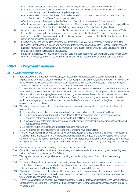- 60.4.11 the Business Current Account is overdrawn without, or in excess of, an agreed overdraft limit.
- 60.4.12 you use or we suspect that the Business Current Account, Debit Card Services or your Debit Card is being used for any unlawful or other inappropriate purpose;
- 60.4.13 we receive a notice of attachment from the Revenue Commissioners pursuant to Section 1001 and/or Section 1002 of the Taxes Consolidation Act 1997; or
- 60.4.14 for any reason this agreement or the Terms and Conditions becomes unenforceable or void.
- 60.4.15 we reasonably decide at any time that all or part of the documentation you supplied did not comply with the requirements of the Criminal Justice (Money Laundering and Terrorist Financing) Act 2010.
- 60.5 After the suspension and/or blocking of a Debit Card we may provide you with notice of such suspension. Whilst the Debit Card is suspended and/or blocked, we may cancel any Debit Card and/or refuse to issue, renew or replace any Debit Card by giving you 2 months' notice whereupon you must cut all Debit Cards in two (through the signature box, magnetic strip and Chip).
- 60.6 If the Cardholder has not used the card in the last 12 months, KBCI may not automatically reissue a card. If the Business Current Account is closed, you must immediately pay all sums owing on the Business Current Account and debit interest, fees and charges will be charged up to the date of closure and Debit Card Services will not be available after the date of closure of the account.
- 60.7 In addition to the above we may cancel your Debit Card and cease to provide you with Debit Card Services at any time for any reason by providing you with two months prior written notice, unless otherwise permitted by law.

## **PART E - Payment Services**

#### 61. PAYMENT INSTRUCTIONS

- 61.1 Before a payment is made from the Account, you must comply with all applicable procedures including where required, either by written or electronic instruction to us through the Digital Service, providing us with the relevant and completed Payment Instruction. We may take such measures as are reasonably necessary in order to verify your identity and or veracity of any instruction prior to the execution of your instruction.
- 61.2 You are solely responsible for the accuracy of each Payment Instruction which you send to us or which we receive as authorised by you. We are not responsible for any delay or error which arises from incomplete, unclear, inconsistent or mistaken instructions which you give us or by us accepting, where we exercise our discretion to do so, an instruction in a form other than what is required in these Terms and Conditions. Where you give us incorrect instructions (in particular where you provide us with incorrect Unique Identifier) we shall not be liable for acting in accordance with any part of those instructions.
- 61.3 We will accept and endeavour to implement any Payment Instruction received by us in relation to the Account provided that:
	- 61.3.1 You follow all applicable procedures including those contained in these Terms and Conditions.
	- 61.3.2 You have duly completed and authorised all Payment Instructions or we have otherwise received and accepted instructions on your behalf in relation to a Direct Debit or otherwise;
	- 61.3.3 We are not prevented from following the instruction by any law or regulation or other circumstances beyond our reasonable control;
	- 61.3.4 You have sufficient cleared and available funds in the Account; and
	- 61.3.5 All other conditions including these Terms and Conditions have been fulfilled
- 61.4 If for any reason, including those in Clause 61.3, we decline to accept or refuse a Payment Instruction in respect of a transaction that is subject to the PSD (this would exclude for example cheques and other negotiable instruments), we will notify you of this as soon as possible and at least within the required timeframe and where possible we will also notify you of the reasons for not accepting the Payment Instruction, unless restricted by law or regulation from doing so.
- 61.5 Once received by us for execution, Payment Instructions are irrevocable.
- 61.6 Our ability to execute a Payment Instruction in a timely manner is dependent on our receiving a complete Payment Instruction from you by the relevant Cut Off time.
- 61.7 We may use intermediary or agent banks and clearing and settlement systems of our choice to execute any payment.
- 61.8 You must notify us without undue delay on becoming aware of any unauthorised or incorrectly executed payment from the Account. We will consider whether there has been undue delay, having regard to all the circumstances including those set out in Clause 63.1.1.4 and otherwise in these Terms and Conditions.
- 61.9 We will ensure that each complete Payment Instruction received from you and accepted by us is credited to the beneficiary's account in accordance with these Terms and Conditions and is credited on the next Business Day where we are also the beneficiary's bank.
- 61.10 Where you wish to make a payment by a particular deadline, you should allow additional time to the execution times contained in these Terms and Conditions for the beneficiary's bank to process and make that payment available to the beneficiary.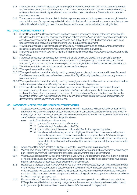- 61.11 In respect of online credit transfers, daily limits may apply in relation to the amount of funds that can be transferred and the number of transfers that can be done from the Account on any one day. These limits will be determined by us at our sole discretion and may vary from time to time without prior notice from us. These limits are available to customers on request.
- 61.12 The above terms and conditions apply to individual payment requests and bulk payments made through the online service. In the case of a payment request (individual or bulk) that has a future date set, you must ensure that you have sufficient funds in the debiting account to meet the payment request prior to the instruction being debited.

#### 62. UNAUTHORISED PAYMENTS

- 62.1 Subject to clause 22 and these Terms and Conditions, we will, in accordance with our obligations under the PSD, refund to you the amount of any payment or withdrawal debited from the Account which was not authorised by you and where necessary restore the Account to the state it would have been in had the transaction not taken place, unless there is undue delay on your part in notifying us of the unauthorised payment.
- 62.2 We will normally consider that there has been undue delay in this regard if you fail to notify us within 30 days after receipt by you of a statement for the Account showing the relevant debit to the Account.
- 62.3 In any event a failure to notify us within 13 months of the payment being debited to the Account will always amount to undue delay.
- 62.4 If the unauthorised payment resulted from the lost or theft of a Debit Card, Credit Card, or any of the Security Materials or your failure to keep the Security Materials safe and secure, you may be liable for all losses suffered. However if you are a consumer or a micro-enterprise you may only be liable for the first €50 of loss suffered by you.
- 62.5 We will have no liability under this Clause 62 for any loss suffered by you:
- 62.5.1 Where you have acted fraudulently.
- 62.5.2 Where you have intentionally, fraudulently or with gross negligence, not used in accordance with these Terms and Conditions or have failed to keep safe and secure any of the Digital Security Materials or other security features or procedures; and/or
- 62.5.3 Where you have intentionally, fraudulently or with gross negligence, failed to notify us without undue delay of the loss, theft or misappropriation of any Security Feature or breach of any security procedure.
- 62.6 For the avoidance of doubt if we subsequently discover, as a result of an investigation, that the unauthorised transaction was an authorised transaction we will debit the Account with the amount refunded and additionally re-charge the Account with any fees, charges and/or interest as applicable. You may also be responsible for the reasonable costs of such investigation. If you are not a consumer or micro-enterprise you will be responsible for demonstrating that the payment was unauthorised.

#### 63. INCORRECTLY EXECUTED AND NON EXECUTED PAYMENTS

- 63.1 Subject to clause 22 and these Terms and Conditions, we will, in accordance with our obligations under the PSD and subject to the following requirements, be liable to you for the correct execution of any Payment Instruction to make a payment from the Account properly given by you to us in accordance with the requirements of these Terms and Conditions. However, this Clause only applies where:-
	- 63.1.1 each of the following conditions is met;
		- 63.1.1.1 you are a Consumer or a Micro-Enterprise.
		- 63.1.1.2 the beneficiary's Bank is located in the EEA.
		- 63.1.1.3 you provided us with the correct Unique Identifier for the payment in question;
		- 63.1.1.4 there is no undue delay on your part in notifying us of the incorrect or non-executed payment. You hereby agree to notify us as soon as possible and in any event within 30 days of receipt of the account statement and failure to do so will be normally considered as an undue delay. In any event a failure to notify us within 13 months of the incorrect payment will always amount to undue delay; and,
- 63.2 where none of the events detailed in Clauses 58.2 and 101.3 prevent us from making payment.
- 63.3 We shall have no liability to you under this Clause where we can prove to you and, where relevant, the beneficiary's bank, that the payment was received by the beneficiary's bank within the applicable timeframe.
- 63.4 Where we are liable under this Clause, we will refund to you, without undue delay, the amount of the non-executed or incorrectly executed payment and, where applicable, restore the Account to the position it would have been in, had the non-executed or incorrectly executed payment not taken place.
- 63.5 Regardless of the issue of liability, where you notify us of an incorrectly executed payment, we will make immediate efforts to trace the whereabouts of the defective payment and inform you of the results of such efforts. If as a result of our investigation we establish that the Payment Instruction received by us was correctly executed, we reserve the right to debit the Account with our charges and any fees or charges levied or sought from us by any other banks involved in investigating the payment.
- 63.6 For the avoidance of doubt, but subject to the foregoing, where we are providing you with services to which the PSD applies, we will be liable to you for any charges for which we are responsible and any interest levied by us to which you are subject as a result of our non-execution or defective execution of a payment.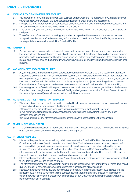## **PART F - Overdrafts**

#### 64. AVAILABILITY OF AN OVERDRAFT FACILITY

- 64.1 You may apply for an Overdraft Facility on your Business Current Account. The approval of an Overdraft Facility on your Business Current Account is at our discretion and subject to credit criteria and assessment.
- 64.2 If we approve an Overdraft Facility on your Business Current Account, the Overdraft Facility shall be subject to the terms of the Letter of Sanction and these Terms and Conditions.
- 64.3 Where there is any conflict between the Letter of Sanction and these Terms and Conditions, the Letter of Sanction shall prevail.
- 64.4 These Terms and Conditions will be binding on you when accepted and in any event you are deemed to have accepted these Terms and Conditions when you first avail of and drawdown the Overdraft Facility and on every subsequent drawdown and renewal of the Overdraft Facility.

#### 65. PAYMENTS

65.1 You will make all payments under the Overdraft Facility without set-off or counterclaim and (save as required by law) free and clear of any withholding or deduction for any present or future taxes duties or other charges. If you are obliged by law to make any such withholding or deduction, you will pay to us additional amounts to ensure that we receive a net amount equal to the full amount we would have received if no such withholding or deduction had been required.

#### 66. VARIATION OF THE OVERDRAFT LIMIT

- 66.1 At your request we may at any time, at our sole discretion and subject to credit criteria and assessment, reduce or increase the Overdraft Limit. We may also at any time, at our own initiative and discretion, reduce the Overdraft Limit by giving you 14 days prior notice in writing of such variation. On a reduction of your Overdraft Limit any debit balance in excess of the Overdraft Limit will become immediately repayable and subject to a surcharge in accordance with Clause 69.5 below. If we agree, at our discretion, to increase your Overdraft Limit we will confirm this in writing.
- 66.2 In operating within the Overdraft Limit you must take account of interest and other charges debited to the Business Current Account during the term of the Overdraft Facility and lodgements made to the Business Current Account that have not yet cleared (i.e. remain subject to the possibility of non-payment).

#### 67. NO IMPLIED LIMIT AS A RESULT OF AN EXCESS

67.1 We are not obliged to permit you to exceed the Overdraft Limit. However, if on any occasion or occasions (however frequently) we do permit you to exceed the Overdraft Limit:- (a) this is not, in any circumstances, to be taken as an implied increase in the Overdraft Limit; and (b) we will not be obliged, in any circumstances, to permit you to exceed the Overdraft Limit on any other occasion or occasions; and

(c) you will be liable for any interest surcharge in accordance with the terms of the Letter of Sanction.

#### 68. MINIMUM PERIOD IN CREDIT

68.1 The Overdraft Facility is subject to the condition that the Current Account must operate in credit for a minimum period of 30 days (consecutively or otherwise) in any twelve month period.

#### 69. INTEREST AND FEES

- 69.1 Interest will be payable on the cleared daily debit balance under the Overdraft Facility at the rate indicated in the Schedule on the Letter of Sanction as varied from time to time. That is, allowance is not made for cheques, drafts or other credits lodged until value has been received or for credit interest accrued but not yet credited to the Account. The rate indicated in the Schedule to the Letter of Sanction is the KBCI Business Overdraft Rate which is the reference rate for the purposes of the Overdraft Facility. You can obtain details of the current KBCI Business Overdraft Rate on our website, in any of our offices or by contacting us directly.
- 69.2 Interest will be debited to the Business Current Account quarterly in arrears (or at such other intervals as are notified to you from time to time) and on final payment.
- 69.3 The interest rate applicable to the Overdraft Facility is a variable rate and will vary in amount from time to time. We will give you at least 30 days notice of any change in the rate in accordance with Clause 17.2.
- 69.4 Interest will accrue from day to day and be calculated on the basis of the actual number of days elapsed and the number of days in a year as from time to time corresponds with the normal banking practice for the currency concerned which for the Euro is presently 365 days based on a 360 day year and will be payable as well after as before any judgment or demand.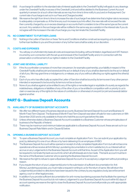- 69.5 A surcharge (in addition to the standard rate of interest applicable to the Overdraft Facility) will apply to any drawings under the Overdraft Facility in excess of the Overdraft Limit and will be debited to the Business Current Account quarterly in arrears (or at such other intervals as we may from time to time notify to you) and on final payment. Our current rate of surcharge is set out in our Fees and Charges booklet.
- 69.6 We reserve the right from time to time to increase the rate of surcharge if we determine that a higher rate is necessary to adequately compensate us. At the time any such increase is put into effect, the new rate will not exceed the rate then currently charged by us on excess drawings on accounts that it considers to be of the same type as the current account. Any variation in the surcharge rate will be notified in the same way as a variation in the interest rate. If you do not agree with the increase in the rate of surcharge you may terminate this Overdraft Facility.

#### 70. NO COMMITMENT TO FURTHER LOANS

70.1 Nothing in the Letter of Sanction or these Terms and Conditions shall be construed as requiring us to provide any further loan facilities to you and the provision of any further loans shall be solely at our discretion.

#### 71. COSTS AND EXPENSES

71.1 You will pay on a full indemnity basis all costs and expenses (including, without limitation, legal fees) and VAT thereon incurred by us in connection with the set up and renewal of the Overdraft Facility and or in connection with the preservation or enforcement of our rights in relation to the Overdraft Facility.

#### 72. JOINT AND SEVERAL LIABILITY

- 72.1 If the Accountholder comprises of more than one person, for example a partnership, your liability in respect of the Overdraft Facility shall be joint and several and the act or default of any of you shall be deemed to be the act or default of all of you. We may grant time or indulgence to, or release, any of you without affecting our rights against the other(s) of you.
- 72.2 Each of you who has effectually accepted the Letter of Sanction shall be bound by its terms even if any other person intended or expressed to be bound by its terms is not be so bound.
- 72.3 None of you shall as against us be entitled to any of the rights or remedies legal or equitable of a surety as regards the indebtedness, obligations or liabilities of any of the other of you or be entitled in competition with or priority to us to claim or exercise any of the rights (in the nature of contribution or otherwise) of one joint (or joint and several) debtor against another.

### **PART G - Business Deposit Accounts**

#### 73. AVAILABILITY OF BUSINESS DEPOSIT ACCOUNTS

- 73.1 We offer two different types of business deposit accounts. Business Demand Deposit Account and Business 12 Month Fixed Term Deposit. The Business 6 Month Fixed Term Deposit was taken off sale for new customers on 18th December 2020 and is only available to those who held this account type before this date.
- 73.2 Unless otherwise stated, a Business Deposit Account is available to a Business Customer whose principle place of business is the Republic of Ireland.
- 73.3 There may be maximum and minimum balances applicable to a Business Deposit Account, these are set out in our Business Deposit Rate Matrix and in Clause 82 below.

#### 74. OPENING A BUSINESS DEPOSIT ACCOUNT

- 74.1 To open a Business Deposit Account, you must complete an Application Form. You can submit your application by post, by delivering it to one of our offices or by hand-delivering it to an employee of KBCI.
- 74.2 The Business Deposit Account will be opened on receipt of a fully completed Application Form but will not become operational until we receive all Anti-Money Laundering documentation in a form satisfactory to us. Interest will not accrue on any Lodgements to the Business Deposit Account until that time. As part of the Application form you will be required to nominate the bank account into which all withdrawals are to be made. This bank account must be in the name of the Business Customer who is opening the Business Deposit Account.
- 74.3 We reserve the right to refuse to open a Business Deposit Account or to accept any Lodgement without providing a reason.
- 74.4 If you require the return of your Lodgement(s) prior to the submission of sufficient documentation for Anti Money Laundering purposes, you must make a request in writing to us for the return of same. We will return the Lodgement(s) provided no directions have been issued to the contrary by any regulatory body, law enforcement agency, court or other legal process.
- 74.5 In addition if you provide sufficient documentation for anti-money laundering purposes that facilitate the opening of the Business Deposit Account but do not make a Lodgement to your Business Deposit Account within 60 days of account opening we reserve the right to close the Business Deposit Account and will provide you with appropriate notification.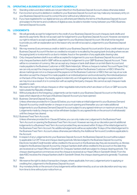#### 75. OPERATING A BUSINESS DEPOSIT ACCOUNT GENERALLY

- 75.1 Standing orders and direct debits are not permitted from the Business Deposit Account unless otherwise stated.
- 75.2 If an incorrect amount is debited or credited to your Business Deposit Account we may make any necessary entry on your Business Deposit Account to correct the error without any reference to you.
- 75.3 If you have registered for our digital service you will where permitted by the terms of the Business Deposit Account and subject to the terms and conditions of digital access, be able to transfer money between your KBCI Business Demand Deposit Accounts.

#### 76. LODGEMENTS

- 76.1 We will generally accept for lodgement to the credit of your Business Deposit Account cheques, bank drafts and electronic payments. We do not accept cash for lodgement to your Business Deposit Account. However, we reserve our right to refuse to accept a specified Lodgement to your Business Deposit Account. We shall not be required to provide you with an explanation as to the reason why we will not accept a Lodgement to your Business Deposit Account.
- 76.2 We may reverse (i) any erroneous credit or debit to your Business Deposit Account and/or (ii) any credit made to your Business Deposit Account if the item so credited is not paid or is recalled by the paying bank (including where we are the paying bank) or is returned to us due to mistake, fraud or the operation of any applicable clearing rules.
- 76.3 Only cheques/bankers draft in euro will be accepted for lodgement to your euro Business Deposit Account and only cheques/bankers draft in GBP will be accepted for lodgement to your GBP Business Deposit Account. There will be no conversion of currency. We can accept any cheque or bank draft drawn on an Irish Bank Account and made payable to the Business Customer or KBC Bank Ireland plc. Where a cheque is marked "Account Payee Only", we can only accept the cheque as a lodgement if the payee is either the Business Customer or KBCI. Where the above markings are not on a cheque and the payee is not the Business Customer or KBCI, then we may at our sole discretion accept the cheque if it is made payable to an individual/person and is endorsed by this individual/person on the back of the cheque. You hereby agree to indemnify us in full against any loss, damage or expense which we may incur as a result of or in connection with accepting third party cheques. We cannot accept cheques made payable to cash.
- 76.4 We reserve the right to refuse cheques or other negotiable instruments which are drawn on Euro or GBP accounts held outside the Republic of Ireland.
- 76.5 Without prejudice to the foregoing, Lodgements can be made to your Business Deposit Account on the following basis which depends on the type of Business Deposit Account you have opened:-
- 76.5.1 Business Demand Deposit Accounts

Unless otherwise provided for in Clause 82 below, you must make an initial lodgement to your Business Demand Deposit Account by credit transfer or cheque on account opening and thereafter you can make additional lodgements to your Business Demand Deposit Account subject to any agreed minimum or maximum amount. Any Lodgements made by cheque may not be withdrawn (subject to any agreed limits on the amount of withdrawals) until the cheque has cleared.

76.5.2 Business Fixed Term Accounts

Unless otherwise provided for in Clause 82 below, you can only make one Lodgement to the Business Fixed Term Account on opening the Business Fixed Term Account. However we may at our discretion permit additional lodgements to a Business Fixed Term Account provided they are received within 15 days of the initial lodgement to the Business Fixed Term Account. No additional lodgements will be accepted after 15 days of the initial lodgement to the Business Fixed Term Account unless otherwise permitted by the Additional Terms and Conditions applicable to the Account.

- 76.6 In respect of any Lodgements into your Business Deposit Account, the Business Deposit Account will be subject to applicable Cut Off Times and cheque clearing periods. Monies lodged to the Business Deposit Account by Electronic transfer/Credit transfer will be credited to the account on the Business day they are received by us. Monies lodged to the Business Deposit Account by cheque/ bankers draft will be credited to the account on the date they are received at our Head Office in Sandwith St. Cheques/ bankers draft are subject to cheque clearing periods. The cheque clearing period commences once the cheque is received at our Head Office in Sandwith Street. From the date KBCI receives the cheque/bankers draft in Sandwith Street, the cheque clearing period is generally 7 business days.
- 76.7 We reserve the right to deduct transaction charges, where applicable, from any Lodgement prior to applying or crediting the Lodgement to the Business Deposit Account.
- 76.8 Any monetary limits on the amount of any lodgements will be determined by us at our sole discretion and may vary from time to time without prior notice from us.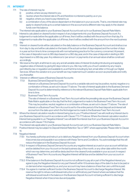#### 77. INTEREST

- 77.1 The rate of interest may be<br>(i) positive where we n
	- (i) positive, where we pay interest to you<br>(ii) positive, where the interest rate is 0% a
	- (ii) neutral, where the interest rate is 0% and therefore no interest is paid by us or you
	- (iii) negative, where you have to pay interest to us<br> $f(x)$  a combination of any of the above dependant
	- a combination of any of the above dependant on the balance in your accounts. That is, one interest rate may apply to cleared funds up to a certain balance in the account and a different rate may apply to the cleared funds over this balance.

The interest rate applicable to your Business Deposit Account is set out in our Business Deposit Rate Matrix.

- 77.2 Interest is calculated on cleared funds in respect of any lodgements into your Business Deposit Account. If a lodgement is made before the applicable cut off times, then it will be credited with the amount from that day. If a lodgement is made after the applicable cut off times, then it will be credited with the amount from the next business day.
- 77.3 Interest on cleared funds will be calculated on the daily balance on the Business Deposit Account and shall accrue from day to day and will be calculated on the basis of the actual number of days elapsed and the number of days in a year as from time to time corresponds with normal banking practice for the currency concerned. At present, in the case of deposits in euro is 365 days based on a 360 day year, and in the case of deposits in sterling is 365 days based on a 365 day year. Any reference to 'per annum' or payments of an annual nature shall be construed accordingly.
- 77.4 We reserve the right, at all times to vary any and all variable rates of interest (including introducing and applying negative rates of interest), by giving 60 days notice to you. We may notify you of such variation by any means permitted by law or regulation and available to us at that time including by text, email, letter or through our Digital Services. Where the variation is to your benefit we may implement such variation as soon as practicable and notify you thereafter.
- 77.5 Interest on different types of Business Deposit Accounts:
	- 77.5.1 Business Demand Deposit Accounts

Interest on a Business Demand Deposit Account is a variable rate and may be positive, neutral, negative or a combination of these, as set out in clause 77.1 above. The rate of interest applicable to the Business Demand Deposit Account is determined by reference to the relevant Business Deposit Rate Matrix applicable from time to time.

77.5.2 Business Fixed Term Accounts

The rate of interest on a Business Fixed Term Account will be the prevailing rate as per the Business Deposit Rate Matrix applicable on the day that the first Lodgement is made to the Business Fixed Term Account. This may be positive, neutral, negative or a combination of these, as set out in clause 77.1 above. The rate of interest on a Business Fixed Term Account is set for the entire period of the fixed deposit and interest will accrue from the date upon which the first lodgement is made to the Business Fixed Term Account.

77.6 Where the interest calculation results in interest being due to you ("Positive Interest") we will credit any Interest due to your Business Deposit Account in accordance with Clause 77.3-77.5 above. Where the interest calculation results in Interest being payable to us ("Negative Interest") we will debit the interest due from your Business Deposit Account in accordance with clause 77.8.2 below.

The interest rate applicable to your Business Deposit Account is set out in our Business Deposit Rate Matrix.

- 77.7 Positive Interest may be subject to Deposit Interest Retention Tax or 'DIRT' where appropriate. Please refer to Clause
	- 14.
- 77.8 Negative Interest
	- 77.8.1 You hereby authorise and instruct us to debit any Negative Interest from your Business Deposit Account when it becomes due and payable in accordance with these Terms and Conditions. You acknowledge that this will reduce the balance in the Business Deposit Account.
	- 77.8.2 In respect of Business Deposit Demand Accounts any negative interest accrued on your account will fall due and be debited from your Account on the last business day of the month, or any other date within the month which we may determine, and will be deducted from the cleared funds available in your account. In respect of Business Fixed Term Accounts any Negative Interest will fall due and be debited from your account on Maturity.
	- 77.8.3 If the balance in the Business Deposit Account is not sufficient to pay all or part of the Negative Interest you agree to pay the Negative Interest (or any part thereof) within 10 business days of the date it is due to be paid or on demand when requested by us, and your account may have a balance of less than zero until this is paid.
	- 77.8.4 You agree to maintain sufficient funds in the Business Deposit Account to discharge Negative Interest. We reserve the right to refuse a withdrawal instruction or withhold any part thereof where we believe that the withdrawal would result in the balance in the Business Deposit Account not being sufficient to discharge Negative Interest when it becomes due and payable.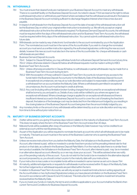#### 78. WITHDRAWALS

- 78.1 You must ensure that cleared funds are maintained in your Business Deposit Account to meet any withdrawals. There is no overdraft facility on the Business Deposit Account. As noted in clause 77.8.4 we reserve the right to refuse a withdrawal instruction or withhold any part thereof where we believe that the withdrawal would result in the balance in the Business Deposit Account not being sufficient to discharge Negative Interest when it becomes due and payable.
- 78.2 In respect of withdrawals from the Business Deposit Account the date of receipt of the withdrawal instruction will be the Business Day on which your original written instruction is received by us. We will only accept an original withdrawal instruction at the time the withdrawal is required. For Business Demand Deposit Accounts, the withdrawal must be required within five days of the withdrawal instruction and for Business Fixed Term Accounts, the withdrawal must be required within thirty days of the withdrawal instruction. You cannot submit a withdrawal instruction for a future date.
- 78.3 Withdrawals can be made by way of electronic fund transfer to the account nominated by you in the Application Form. The nominated account must be in the name of the Accountholder. If you wish to change the nominated account you must send us a written instruction signed by the authorised signatories confirming the new account details, however this new account must also be in the name of the Accountholder. No cheque withdrawals or cash withdrawals are permitted.
- 78.4 Business Demand Deposit Accounts 78.4.1 Subject to Clause 82 below, you may withdraw funds from a Business Deposit Demand Account at any time. 78.4.2 Unless otherwise stated in Clause 82 below all withdrawal requests must be made in writing to KBCI.
- 78.5 Business Fixed Term Accounts
	- 78.5.1 Unless otherwise provided for in Clause 82 below, no withdrawals or partial withdrawals may be made from a Business Fixed Term Account during its term.
	- 78.5.2 With the exception of those outlined in Clause 82 Fixed Term Accounts do not permit any access to the funds held in the Business Deposit Account prior to the Maturity Date of the Business Deposit Account. In exceptional circumstances, we may at our sole discretion and subject to reasonable conditions permit a withdrawal from an account before the Maturity Date. Where a withdrawal is permitted in exceptional circumstances, the Account must be kept in credit at all times.
	- 78.5.3 Any cost (including without limitation broken funding charges) that is incurred for an exceptional withdrawal shall be borne by you and paid to us. Details of any costs will be notified to you where we agree to an exceptional withdrawal. Where a breakage charge is applied for an exceptional withdrawal and there is insufficient interest accrued in the Business Deposit Account to cover the cost of breaking the fixed term deposit, the balance of the breakage cost may be deducted from the initial amount lodged by you resulting in the closing balance of the Business Deposit Account being less than the amount initially lodged by you.
- 78.6 Any monetary limits on the amount of any withdrawals will be determined by us at our sole discretion and may vary from time to time without prior notice from us.

#### 79. MATURITY OF BUSINESS DEPOSIT ACCOUNTS

- 79.1 A letter will be sent to you giving 10 business days notice in relation to the maturity of a Business Fixed Term Account. This does not apply where the term of the Business Fixed Term Account is less than 30 days.
- 79.2 Matured funds will be available after close of business on the Maturity Date however may not be credited to an external account until the next Business Day.
- 79.3 As part of the Application you will be required to nominate the bank account into which all withdrawals are to be made on maturity. This bank account must be in the name of the Business Customer who is opening the Business Fixed Term Account.
- 79.4 Unless we receive instructions from you before the Maturity Date, the full balance in the Business Fixed Term Account, after interest is paid, will be re-invested in a similar fixed term product at the prevailing interest rate for that product on that date, as outlined in the Business Deposit Rate Matrix. If on the maturity date there is no similar fixed term product available, the full balance in the Business Fixed Term Account, after interest is paid, may be re-invested in an alternative deposit account offered by us or we may close your account. This will be advised when we notify you of the pending maturity of the account. If you do not wish for the funds to be re-invested in the alternative deposit account proposed by us, you should contact us prior to the maturity date with your instructions.
- 79.5 If your instruction is inaccurate or incomplete funds will be re invested in same manner as set out in clause 79.4
- 79.6 At maturity, additional lodgements or requests for withdrawals must be received within 15 days of the Maturity Date. No further lodgements or withdrawal requests are permitted within the term.
- 79.7 In relation to Business Fixed Term Accounts, we will only accept re-investment instructions in writing signed by all the Accountholders or two Authorised Signatories (unless you have placed a limitation on the Business Fixed Term Account in accordance with Clause 8.3 and 10.3 above). This instruction for full or partial re-investment should be received before the Maturity Date.
- 79.8 If you re-invest your funds on maturity, the terms and conditions applicable to your Account shall be the Bank's then current Terms and Conditions for Business Deposit Accounts.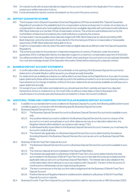- 79.9 On maturity funds will not automatically be lodged to the account nominated in the Application Form unless we receive your written instruction to do so.
- 79.10 Funds reinvested at maturity must be reinvested in an Account in the same currency.

#### 80. DEPOSIT GUARANTEE SCHEME

- 80.1 The European Union (Deposit Guarantee Schemes) Regulations 2015 (as amended) (the "Deposit Guarantee Regulations") provides for the establishment of a compensation scheme and payment, in certain circumstances, of compensation to clients who hold qualifying deposits (known as eligible deposits) with authorised credit institutions. KBC Bank Ireland plc is a member of that compensation scheme. This scheme is administered and run by the Central Bank of Ireland and is funded by the credit institutions covered by the scheme.
- 80.2 Compensation may be payable where deposits lodged with KBC Bank Ireland plc by clients and held by KBC Bank Ireland plc cannot be returned to those clients for the time being and there is no reasonable or foreseeable opportunity of KBC Bank Ireland plc being able to do so.
- 80.3 A right to compensation will only arise if the client holds an eligible deposit as defined under the Deposit Guarantee Regulations.
- 80.4 This scheme provides for the protection of deposits irrespective of currency. Protection under the scheme guarantees 100% of all deposits held by one depositor subject to a maximum compensation payment of €100,000.
- 80.5 You will be provided with a 'Depositor Information Sheet' when opening an Account and on an annual basis thereafter. You must acknowledge receipt of the Depositor Information Sheet before entering into a deposit contract.

#### 81. BUSINESS DEPOSIT ACCOUNT STATEMENTS

- 81.1 A confirmation letter will be issued to the Accountholder on the opening of the Business Deposit Account and a statement in a Durable Medium will be issued to you at least annually thereafter.
- 81.2 If e-statements are available as a feature you will be able to access these via the Digital Service. If you elect to receive paper statements these will be issued annually by post to the address provided to us on account opening unless you have advised us of a change of address. Until such time as e-statements are exclusively available we will issue you a paper statement annually.
- 81.3 On receipt of your confirmation and statements you should examine them carefully and report any disputed transactions, errors or omissions to us. You must notify us without undue delay on becoming aware of an unauthorised or incorrectly executed transaction provided for in these Terms and Conditions.

#### 82. ADDITIONAL TERMS AND CONDITIONS FOR PARTICULAR BUSINESS DEPOSIT ACCOUNTS

- 82 .1 In addition to our standard terms and conditions for Business Deposit Accounts, the following additional terms and conditions apply in connection with the following specific Business Deposit Accounts:
- 82.2 Business Deposit Demand Account
	- 82.2.1 The Business Deposit Demand Account is a Business Deposit Demand Account and is available in euro only.
	- 82.2.2 Any positive interest accrued is credited to the Business Deposit Demand Account on closure of the account or on a semi-annual basis or such other dates as we may at our discretion determine. Any Negative Interest will be debited in accordance with clause 77.8.2.
	- 82.2.3 A withdrawal facility is permitted on the Business Deposit Demand Account, however you must keep the Account in credit at all times.
	- 82.2.4 The interest rate applicable on a Business Deposit Demand Account is determined by the balance (including Interest) in the Business Deposit Demand Account as set out in our Business Deposit Rate **Matrix**
- 82.3 Business 12 Month Fixed Term Deposit Account
	- 82.3.1 The Business Deposit Demand Account is a Business Deposit Demand Account and is available in euro only.
	- 82.3.2 The minimum deposit amount is detailed in the Deposit Rate Matrix.
	- 82.3.3 The interest rate applicable on a Business 12 Month Fixed Term Account is determined by the total sum invested in the Business 12 Month Fixed Term Account on the date the funds are invested and the applicable rates as set out in our Business Deposit Rate Matrix. The interest rate is also detailed in the confirmation letter which will issue to you in accordance with Clause 81.1. The term of the Account is 12 months and no withdrawals can be made during this period.
	- 82.3.4 The term commences on the day you first make a lodgement into the Business 12 Month Fixed Term Deposit Account.
	- 82.3.5 Positive Interest and Negative Interest is credited and/or debited to a Business 12 Month Fixed Rate Deposit Account on maturity.
- 82.4 Business 6 month Fixed Term Deposit Account (removed from sale for new accounts on 18th December 2020)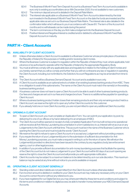- 82.4.1 The Business 6 Month Fixed Term Deposit Account is a Business Fixed Term Account and is available in euro only to existing accountholders since 18th December 2020. It is not available to new customers.
- 82.4.2 The minimum deposit amount is detailed in the Deposit Rate Matrix
- 82.4.3 The interest rate applicable on a Business 6 Month Fixed Term Account is determined by the total sum invested in the Business 6 Month Fixed Term Account on the date the funds are invested and the applicable rates as set out in our Business Deposit Rate Matrix. The interest rate is also detailed in the confirmation letter which will issue to you in accordance with Clause 81.1. The term of the Account is 6 months and no withdrawals can be made during this period
- 82.4.4 The term commences on the day you first make a lodgement into the Business Deposit Account.
- 82.4.5 Positive Interest and Negative Interest is credited and/or debited to a Business 6 Month Fixed Rate Deposit Account on maturity.

## **PART H - Client Accounts**

#### 83. AVAILABILITY OF CLIENT ACCOUNTS

- 83.1 Unless otherwise stated, a Client Account is available to a Business Customer whose principle place of business is the Republic of Ireland for the purposes or holding and/or receiving client monies.
- 83.2 Where the Business Customer is subject to regulation within the Republic of Ireland they must, where applicable, hold a licence or be authorised to operate within the Republic of Ireland by the appropriate Regulatory Body.
- 83.3 You must at all times comply with any applicable laws and regulations in relation to the holding of client monies and you hereby warrant that you will so comply and further that you will not contravene any law or regulation in operating the Client Account, including, but not limited to, the Solicitors Account Regulations as may be amended from time to time.
- 83.4 The Client Account will be a Business Demand Deposit Account and is available in euro only.
- 83.5 A Client Account is available as an optional extra to a holder of an existing business banking product from KBC. There is no obligation to avail of this optional extra. The name on the Client Account must match the name(s) on the existing business banking product.
- 83.6 A business customer does not have to open a Client Account to be able to avail of other business banking products. Our fees and charges are set out in our fees and charges brochure. There is no additional fee payable for operating a Client Account.
- 83.7 Where a business banking product holder closes their remaining products and their only remaining product held is a Client Account, we reserve the right not to open any further Client Accounts for this customer.
- 83.8 If you already hold one or more Client Account(s), you are not permitted to open any additional Client Account(s).

#### 84. OPENING A CLIENT ACCOUNT

- 84.1 To open a Client Account, you must complete an Application Form. You can submit your application, by post, by delivering it to one of our offices or by hand-delivering it to an employee of KBCI.
- 84.2 The Client Account will be opened on receipt of a fully completed Application Form but will not become operational until we receive all Anti-Money Laundering documentation in a form satisfactory to us. Interest will not accrue on any Lodgements to the Client Account until that time. This account must be in the name of the Business Customer who is opening the Client Account and must include the words "Client Account".
- 84.3 We reserve the right to refuse to open a Client Account or to accept any Lodgement without providing a reason.
- 84.4 If you require the return of your Lodgement(s) prior to the submission of sufficient documentation for Anti Money Laundering purposes, you must make a request in writing to us for the return of same. We will return the Lodgement(s) provided no directions have been issued to the contrary by any regulatory body, law enforcement agency, court or other legal process.
- 84.5 In addition if you provide sufficient documentation for anti-money laundering purposes that facilitate the opening of the Client Account but do not make a Lodgement to your Client Account within 60 days of account opening we reserve the right to close the Client Account and will provide you with appropriate notification.
- 84.6 Client Accounts may be subject to a maximum balance to be determined by us in our sole discretion. This maximum balance may be varied at any time without notice to you and is available on request.

#### 85. OPERATING A CLIENT ACCOUNT GENERALLY

- 85.1 Standing orders and direct debits are not permitted from the Client Account unless otherwise stated.
- 85.2 If an incorrect amount is debited or credited to your Client Account we may make any necessary entry on your Client Account to correct the error without any reference to you.
- 85.3 If you have registered for our Digital Service you may where permitted by these terms and conditions and subject to the terms and conditions in relation to digital access, be able to transfer money between your KBCI Demand Deposit **Accounts**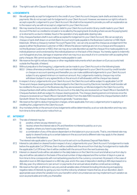#### 85.4 The right to set-off in Clause 15 does not apply to Client Accounts.

#### 86. LODGEMENTS

- 86.1 We will generally accept for lodgement to the credit of your Client Account cheques, bank drafts and electronic payments. We do not accept cash for lodgement to your Client Account. However, we reserve our right to refuse to accept a specific Lodgement to your Client Account. We shall not be required to provide you with an explanation as to the reason why we will not accept a Lodgement to your Client Account.
- 86.2 We may reverse (i) any erroneous credit or debit to your Client Account and/or (ii) any credit made to your Client Account if the item so credited is not paid or is recalled by the paying bank (including where we are the paying bank) or is returned to us due to mistake, fraud or the operation of any applicable clearing rules.
- 86.3 Only cheques/bankers draft in euro will be accepted for lodgement to your Client Account. We can accept any cheque or bank draft drawn on an Irish Bank Account and made payable to the Business Customer or KBC Bank Ireland plc. Where a cheque is marked "Account Payee Only", we can only accept the cheque as a lodgement if the payee is either the Business Customer or KBCI. Where the above markings are not on a cheque and the payee is not the Business Customer or KBCI, then we may at our sole discretion accept the cheque if it is made payable to an individual/person and is endorsed by this individual/person on the back of the cheque. You hereby agree to indemnify us in full against any loss, damage or expense which we may incur as a result of or in connection with accepting third party cheques. We cannot accept cheques made payable to cash.
- 86.4 We reserve the right to refuse cheques or other negotiable instruments which are drawn on Euro accounts held outside the Republic of Ireland.
- 86.5 Without prejudice to the foregoing, Lodgements can be made to your Client Account on the following basis:
	- 86.5.1 Unless otherwise provided for, you must make an initial lodgement to your Client Account by credit transfer or cheque on account opening and thereafter you can make additional lodgements to your Client Account subject to any agreed minimum or maximum amount. Any Lodgements made by cheque may not be withdrawn (subject to any agreed limits on the amount of withdrawals) until the cheque has cleared.
- 866 In respect of any Lodgements into your Client Account, the Client Account will be subject to applicable Cut Off Times and cheque clearing periods. Monies lodged to the Client Account by Electronic transfer/Credit transfer will be credited to the account on the Business day they are received by us. Monies lodged to the Client Account by cheque/bankers draft will be credited to the account on the date they are received at our Head Office in Sandwith St. Cheques/bankers draft are subject to cheque clearing periods. The cheque clearing period commences once the cheque is received at our Head Office in Sandwith Street. From the date KBCI receives the cheque/bankers draft in Sandwith Street, the cheque clearing period is generally 7 business days.
- 86.7 We reserve the right to deduct transaction charges, where applicable, from any Lodgement prior to applying or crediting the Lodgement to the Client Account.
- 86.8 Any monetary limits on the amount of any lodgements will be determined by us at our sole discretion and may vary from time to time without prior notice from us.

#### 87. INTEREST

- 87.1 The rate of interest may be
	- (i) positive, where we pay interest to you
	- (ii) neutral, where the interest rate is 0% and therefore no interest is paid by us or you
	- (iii) negative, where you have to pay interest to us
	- (iv) a combination of any of the above dependant on the balance in your accounts. That is, one interest rate may apply to cleared funds up to a certain balance in the account and a different rate may apply to the cleared funds over this balance.

#### The interest rate applicable to your Client Account is set out in our Business Deposit Rate Matrix.

- 87.2 Interest is calculated on cleared funds in respect of any Lodgements into your Client Account. If a lodgement is made before the applicable Cut Off times, then it will be credited with the amount from that day. If a lodgement is made after the applicable Cut Off times, then it will be credited with the amount from the next business day.
- 87.3 Interest on cleared funds will be calculated on the daily balance on the Client Account and shall accrue from day to day and will be calculated on the basis of the actual number of days elapsed and the number of days in a year as from time to time corresponds with normal banking practice for the currency concerned. At present, in the case of deposits in euro is 365 days based on a 360 day year, and in the case of deposits in sterling is 365 days based on a 365 day year. Any reference to 'per annum' or payments of an annual nature shall be construed accordingly.
- 87.4 We reserve the right, at all times to vary any and all variable rates of interest (including introducing and applying negative rates of interest), by giving you two months notice by whatever means that we, at our discretion, deem appropriate save where the variation is to your benefit in which circumstances we may implement such variation as soon as practicable and notify you thereafter.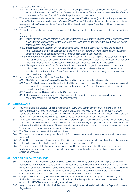- 875 Interest on Client Accounts
	- 87.5.1 Interest on a Client Account is a variable rate and may be positive, neutral, negative or a combination of these, as set out in clause 871 above. The rate of interest applicable to the Client Account is determined by reference to the relevant Business Deposit Rate Matrix applicable from time to time.
- 87.6 Where the interest calculation results in interest being due to you ("Positive Interest") we will credit any Interest due to your Client Account in accordance with Clauses 87.3-87.5 above. Where the interest calculation results in Interest being payable to us ("Negative Interest") we will debit the interest due from your Client Account in accordance with clause 87.8 below.
- 87.7 Positive Interest may be subject to Deposit Interest Retention Tax or 'DIRT' where appropriate. Please refer to Clause 14.
- 878 Negative Interest
	- 87.81 You hereby authorise and instruct us to debit any Negative Interest from your Client Account when it becomes due and payable in accordance with these Terms and Conditions. You acknowledge that this will reduce the balance in the Client Account.
	- 87.8.2 In respect of Client Accounts any negative interest accrued on your account will fall due and be debited from your account on the last business day of the month, or any other date within the month which we may determine, and will be deducted from the cleared funds available in your account.
	- 87.8.3 If the balance in the Client Account is not sufficient to pay all or part of the Negative Interest you agree to pay the Negative Interest (or any part thereof) within 10 Business days of the date it is due to be paid or on demand when requested by us, and your account may have a balance of less than zero until this is paid.
	- 87.8.4 You agree to maintain sufficient funds in the Client Account to discharge Negative Interest. We reserve the right to refuse a withdrawal instruction or withhold any part thereof where we believe that the withdrawal would result in the balance in the Client Account not being sufficient to discharge Negative Interest when it becomes due and payable.
- 87.9 Additional Terms and Conditions for Client Accounts
	- 87.9.1 The Client Account is a Business Deposit Demand Account and is available in euro only.
	- 87.9.2 Any Positive interest accrued is credited to the Client Account on closure of the account or on a semi-annual basis or such other dates as we may at our discretion determine. Any Negative Interest will be debited in accordance with clause 87.8.
	- 87.9.3 A withdrawal facility is permitted on the Client Account.
	- 87.9.4 The interest rate applicable on a Client Account is determined by the balance (including Interest) in the account as set out in our Business Deposit Rate Matrix.

#### 88. WITHDRAWALS

- 88.1 You must ensure that Cleared Funds are maintained in your Client Account to meet any withdrawals. There is no overdraft facility on the Client Account. As noted in clause 87.8.4 we reserve the right to refuse a withdrawal instruction or withhold any part thereof where we believe that the withdrawal would result in the balance in the Client Account not being sufficient to discharge Negative Interest when it becomes due and payable.
- 88.2 In respect of withdrawals from the Client Account the date of receipt of the withdrawal instruction will be the Business Day on which your original written instruction is received by us. We will only accept an original withdrawal instruction at the time the, withdrawal is required. The withdrawal must be required within five days of the withdrawal instruction. You cannot submit a withdrawal instruction for a future date.
- 88.3 The Client Account must remain in credit at all times.
- 88.4 Withdrawals can also be made by way of electronic fund transfer. No cash withdrawals or cheque withdrawals are permitted.
- 88.5 Subject to compliance with these Terms and Conditions you may withdraw funds from a Client Account at any time.
- 88.6 Unless otherwise stated all withdrawal requests must be made in writing to KBCI.
- 88.7 Withdrawals by way of electronic fund transfer and/or via Digital Services are subject to limits. These limits will be determined by us in our sole discretion and may be varied by us at any time and without notice to you and are available on request.

#### 89. DEPOSIT GUARANTEE SCHEME

- 89.1 The European Union (Deposit Guarantee Schemes) Regulations 2015 (as amended) (the "Deposit Guarantee Regulations") provides for the establishment of a compensation scheme and payment, in certain circumstances, of compensation to clients who hold qualifying deposits (known as eligible deposits) with authorised credit institutions. KBC Bank Ireland plc is a member of that compensation scheme. This scheme is administered and run by the Central Bank of Ireland and is funded by the credit institutions covered by the scheme.
- 89.2 Compensation may be payable where deposits lodged with KBC Bank Ireland plc by clients and held by KBC Bank Ireland plc cannot be returned to those clients for the time being and there is no reasonable or foreseeable opportunity of KBC Bank Ireland plc being able to do so.
- 89.3 A right to compensation will only arise if the client holds an eligible deposit as defined under the Deposit Guarantee Regulations.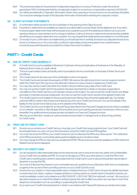- 89.4 This scheme provides for the protection of deposits irrespective of currency. Protection under the scheme guarantees 100% of all deposits held by one depositor subject to a maximum compensation payment of €100,000.
- 89.5 You will be provided with a 'Depositor Information Sheet' when opening an Account and on an annual basis thereafter. You must acknowledge receipt of the Depositor Information Sheet before entering into a deposit contract.

#### 90. CLIENT ACCOUNT STATEMENTS

- 90.1 A confirmation will be issued to the Accountholder on the opening of the Client Account.
- 90.2 If quarterly e-statements are available as a feature you will be able to access these via the digital service. If you elect to receive paper statements these will be issued once a quarter by post to the address provided to us on account opening unless you have advised us of a change of address. Until such time as e-statements are exclusively available we will issue you a paper statement once a quarter. You may request that statements be provided on a monthly basis.
- 90.3 On receipt of your confirmation and statements you should examine it carefully and report any disputed transactions, errors or omissions to us. You must notify us without undue delay on becoming aware of an unauthorised or incorrectly executed transaction provided for in these Terms and Conditions.

## **PART I - Credit Cards**

#### 91. USE OF CREDIT CARD GENERALLY

- 91.1 A Credit Card Account is available to Business Customers whose principle place of business is in the Republic of Ireland and who meet our credit criteria.
- 91.2 This is an open ended credit card facility which is provided to the Accountholder on the basis of these Terms and **Conditions**
- 91.3 The Credit Card is for the sole use of the Cardholder to whom it is issued.
- 91.4 The Credit Card is and remains the property of KBCI. We reserve the right at any time to cancel, suspend, recall or retain the Credit Card. We may at our sole discretion refuse to re-issue, renew or replace any Credit Card.
- 91.5 You may only use the Credit Card within the Credit Limit and until the expiry date of the Credit Card.
- 91.6 You may not use the Credit Card if it has expired, has been reported lost or stolen or has been suspended or cancelled or if the Credit Card Account has been closed or terminated. You cannot use the Credit Card for any illegal purchase or improper purpose whatsoever. You may not use the Credit Card in excess of the agreed Credit Limit.
- 91.7 The Credit Card Account is liable for the annual Government Stamp Duty at the then applicable rate. You hereby authorise KBCI to deduct this Government Stamp Duty from your Credit Card Account. You can find details of the liability for this Government Stamp Duty on the website of the Revenue.
- 91.8 The Credit Card Account is liable for an Annual Fee as described in the Fees and Charges brochure which is available on our website- www.kbc.ie. We will apply this annual fee at account opening and at each anniversary of the account thereafter. Any additional servicing fees are also included in our Fees and Charges brochure.
- 91.9 We may, at our discretion, employ an outsourced services provider to manage some or all servicing activities for Credit Cards.

#### 92. FIRST USE OF CREDIT CARD

- 92.1 As soon as you receive your Credit Card you must sign your Credit Card using a ball point pen. Your Credit Card will be activated when you carry out your first transaction using the Credit Card and PIN together.
- 92.2 You must memorise the PIN for your Credit Card and must not disclose the PIN to any other person. The notification of the PIN received from us should be destroyed immediately as it is not safe to retain.
- 92.3 You may change the PIN we have sent you at selected ATM's. PIN services are currently available at ATM's where the MasterCard symbol is displayed.

#### 93. SECURITY OF CREDIT CARD

- 93.1 You are required to take reasonable steps and to exercise due care to ensure the security, safety and confidentiality of your Credit Card, its details and PIN. You must not divulge your PIN to any other person or note the PIN on the Credit Card or anything else carried or associated with the Credit Card in such a way as third parties may be able to decipher or access the PIN.
- 93.2 You must not disclose the answers to your nominated security questions to any third party other than our employees or agents in the course of them providing a service on your Credit Card Account.
- 93.3 If at any time you suspect or have reasonable reason to believe that your Credit Card or its security details have been compromised, lost, stolen, copied or misappropriated or is being used in an unauthorized or fraudulent manner, you must immediately contact us by telephone at 1800 93 62 87 (+353 1 634 7963 from abroad) or email . We may at our discretion require you to submit the details in writing however this will not affect any action we may take on foot of the telephone conversation such as cancelling or suspending the Credit Card.
- 93.4 If you report your Credit Card as being lost or stolen in accordance with Clause 93.3 above you hereby irrevocably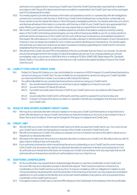authorise us to suspend and or cancel your Credit Card. Once the Credit Card has been reported lost or stolen in accordance with Clause 93.3 above and we have cancelled or suspended it, the Credit Card may not be used again even if it is subsequently located.

- 93.5 You hereby agree to provide all necessary information and assistance and to co-operate fully with all investigations carried out in connection with the loss or theft of your Credit Card including those conducted by us internally and those carried out by the Garda Síochána or other third party investigative authority. You hereby authorise us to inform and disclose all relevant information in connection with the loss or theft of your Credit Card to any appropriate third party. Where you have been a victim of fraud, we may require that you report this to An Garda Síochána.
- 93.6 We monitor Credit Card transactions for possible suspicious activities. If we believe suspicious activity is taking place or the Credit Card is being used improperly, we may without having any liability to you for so doing, decline to authorise further transactions on the Credit Card Account until we have contacted you and satisfied ourselves in that regard. We will endeavour to contact you before we take a decision to decline authorisation of such transactions however it may not always be possible for us to contact you before declining such transactions. You hereby agree and authorise us to take such actions as we deem necessary including suspending the Credit Card if it cannot be established that the transaction is a valid transaction.
- 93.7 We will send the Credit Card and PIN to the address of the Accountholder that we hold on our records. You should ensure that arrangements for the receipt of mail at that address are secure. If you change address you should immediately notify us by phone on 1800 804 414 or in writing to PO Box 12485, KBC Bank Ireland Plc, Sandwith Street, Dublin 2. If you fail to do so there is a risk that your mail could be intercepted resulting in fraud on the Credit Card Account.

#### 94. LIABILITY FOR LOSS OF CREDIT CARD

- 94.1 Subject to Clause 94.2 below, you may only be liable for a maximum of €50 in respect of unauthorised transactions carried out using your Credit Card. You are not liable for any transactions carried out using your Credit Card after you have reported it lost or stolen in accordance with Clause 93.3 above.
- 94.2 You will be fully liable for any unauthorised transactions carried out using your Credit Card if:-
	- 94.2.1 the unauthorised transactions occurred due to gross negligence or fraud on your part;
	- 94.2.2 vou are in breach of Clause 931 above;
	- 94.2.3 if you fail to promptly report the loss or theft of your Credit Card to us in accordance with Clause 93.3 above;
	- 94.2.4 you provided the Credit Card to a third party and they used it or passed it to someone else; and
	- 94.2.5 in breach of Clause 93.5 above you fail to co-operate in full with any investigation into the loss or theft of your Credit Card.

#### 95. ISSUE OF NEW OR REPLACEMENT CREDIT CARDS

95.1 We may at our absolute discretion refuse to replace or re-issue any Credit Card that expires or is reported lost or stolen. We will refuse to re-issue a Credit Card where you have terminated your Account or are in breach of any of these Terms and Conditions. A fee may be charged for the issue of a replacement Credit Card.

#### 96. CREDIT LIMIT

- 96.1 We will notify you of your Credit Limit and Credit Card Limit when we issue the Credit Card to you. You must not use your Credit Card to enter into transactions in excess of the Credit Limit and/or Credit Card Limit.
- 96.2 We will not increase your Credit Limit unless you request us to do so however we reserve the right to refuse such a request at our absolute discretion.
- 96.3 We reserve the right at any time and at our absolute discretion to reduce your Credit Limit. We will provide you with 15 days notice in writing of any such reduction.
- 96.4 If you authorise a transaction which would bring the amount outstanding on your Credit Card Account in excess of the Credit Limit, we reserve the right at our absolute discretion to authorise or decline such transactions. If we do authorise such transactions this does not increase your Credit Limit and does not in any way imply that we will authorise all such transactions and all such authorisations may incur a fee from us.

#### 97. ADDITIONAL CARDHOLDERS

- 97.1 An Accountholder may request that an individual (aged 18 years or over) be a Cardholder on the Credit Card Account. We may at our discretion accept or decline this request. There may be a maximum of twenty four Cardholders on the Credit Card Account at any time. To ensure compliance with our obligations in relation to antimoney laundering, fraud prevention and the prevention of the financing of terrorism we may require documentation satisfactory to us to evidence the identity and current permanent address of any person who is proposed to be a Cardholder on the Credit Card Account.
- 97.2 If we agree to issue a Credit Card, a Card and PIN will issue to the Cardholder at the address of the Accountholder.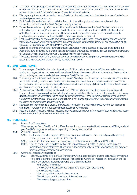- 97.3 The Accountholder is responsible for all transactions carried out by the Cardholder and is fully liable to us for payment of all amounts outstanding on the Credit Card Account in respect of transactions carried out by the Cardholder. The Accountholder must inform the Cardholder of these Terms and Conditions.
- 97.4 We may at any time cancel, suspend or block a Credit Card issued to any Cardholder. We will cancel a Credit Card at any time if you request us to do so.
- 97.5 Each Cardholder authorises us to provide the Accountholder with any information in connection with the transactions carried out on the Credit Card Account by him or her.
- 97.6 Transactions carried out by a Cardholder will reduce the available balance on the Credit Card Account and are included in the Credit Limit. Please note that Cardholders will be entitled to use their Credit Card to the full extent of the Credit Card and/or Credit Limit subject to limitation on the value of transactions and cash withdrawals Cardholders can carry out using their Credit Card which are available on request.
- 97.7 Each Cardholder shall be deemed to have accepted and to be bound by these Terms and Conditions save for the following clauses which are only applicable to the Accountholder:- Clauses 94 (Liability for loss of Credit Card), 102 (Interest), 103 (Statements) and 104(Monthly Payments).
- 97.8 Cardholders should only use their card for purposes connected with the business of the Accountholder. It is the Accountholder's responsibility to ensure that this condition is enforced. No card should be used for payments relating to illegal activities or anything which would be a breach of these conditions.
- 97.9 We reserve the right to set-off any balances owing on a credit card account against any credit balance on a KBCI account held by the Accountholder. We may do this without notice.

#### 98. CASH WITHDRAWALS

- 98.1 You can use your Credit Card in conjunction with your PIN to withdraw cash from an ATM where the Mastercard symbol is displayed. When you make a withdrawal we will deduct the amount of the withdrawal from the Account and will immediately reduce the available balance on your Credit Card Account.
- 98.2 The use of your Credit Card to withdraw cash from an ATM is subject to both transaction and daily limits. These limits will be determined by us at our sole discretion and may vary from time to time without prior notice from us. These limits are available on request at any time. ATM providers and retailers may apply their own limits to cash withdrawals and these may be lower than the daily limit set by us.
- 98.3 You can use your Credit Card in conjunction with your PIN to withdraw cash over the counter from a Bureau de Change where the Mastercard symbol is displayed up to a specific limit. This limit will be determined by us at our sole discretion and may vary from time to time without prior notice from us. These limits are available on request at any time. Some over the counter providers such as a Bureaux de Change apply their own limits to cash withdrawals and these may be lower than the daily limit set by us.
- 98.4 Interest begins to accrue on the Credit Card Account in respect of any cash withdrawals from the day the cash is withdrawn. There is no interest free period in respect of cash withdrawals.
- 98.5 Fees and charges (including without limitation a cash advance fee) may apply in respect of cash withdrawals. Please see our Fees and Charges Booklet for further details.

#### 99. PURCHASES

99.1 Point of Sale Transactions When using your Credit Card for a Point of Sale Transaction you may be asked to either enter your PIN, sign or hold your Credit Card against a card reader depending on the payment terminal.

#### 99.2 Chip & PIN transactions

- 99.2.1 For transactions which require a Credit Card to be inserted into the POS Terminal you will be generally prompted to input your PIN into the POS terminal.
- 99.2.2 Some POS Terminals may require your signature if they do not have a Chip and PIN facility.
- 99.2.3 The use of your Credit Card for Point of Sale Transactions is subject to daily limits. These limits are available on request at any time. These limits will be determined by us at our sole discretion and may vary from time to time without prior notice from us.

#### 99.3 Cardholder not present transactions

- 99.3.1 You may authorise a Point of Sale Transaction when you are not in the presence of a retailer or merchant for example over the telephone or online. This is called a "Cardholder not present" transaction and the retailer or merchant may ask for any or all of the following details:
	- Your Credit Card number.
	- Credit Card validation (last three digits on the back of your Credit Card),
	- Credit Card expiry date,
	- Your name, address and telephone number,
	- The address to which goods should be delivered, and
	- The amount charged, date and time.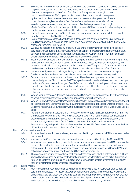- 99.3.2 Some retailers or merchants may require you to use MasterCard Securecode to authorise a Cardholder not present transaction. In order to use the service, the Cardholder must have a valid mobile phone number registered to the Credit Card Account. A unique one-time 8 digit numeric passcode will be sent via SMS to your mobile phone at the time authorisation is requested by the merchant. You must enter the unique one- time passcode when prompted. There is no requirement to register for MasterCard SecureCode. We bear no responsibility for any loss, damage, or expense you may incur as a result of authorising a transaction through MasterCard SecureCode. It is your responsibility to ensure KBCI holds your up to date mobile phone number to ensure you have continued use of the MasterCard SecureCode service.
- 99.3.3 If we authorise a transaction as a Cardholder not present transaction this will immediately reduce the available balance on the Credit Card Account.
- 99.3.4 Some retailers or merchants will apply for pre authorisation of a payment when you give them your Credit Card number e.g. booking a hotel room. The pre authorisation amount will reduce the available balance on the Credit Card Account.
- 99.3.5 We have no obligation, responsibility or liability to you or the retailer/merchant concerning goods or services purchased using the Credit Card. You should contact the retailer or merchant if you have any query, complaint or dispute about the goods and services they supply to you. We will not negotiate or enter into any communication with a retailer or merchant on your behalf.
- 99.3.6 In some circumstances a retailer or merchant may require an authorisation from us to permit a particular transaction which exceeds the transaction limits to proceed. These transaction limits are set by the retailer and are in addition to any transaction limits we may have. The granting of this authorisation is at our discretion and has the effect of reducing the available balance on the Credit Card Account.
- 99.3.7 We have no obligation, responsibility or liability to you if a retailer or merchant refuses to accept your Credit Card or if the retailer or merchant fails to contact us for authorisation where required.
- 99.3.8 Once you have authorised a retail purchase, it cannot be subsequently revoked (whether or not a voucher is signed or a PIN number verified. Where you have authorised a retailer or merchant to set up a continuous Payment Instruction on your Credit Card and you wish to cancel it, you must send a written cancellation notice to the retailer or merchant and keep a copy of the letter. Service of such a cancellation notice on a retailer or merchant shall not constitute, or be deemed to constitute, service of any such notice on us.
- 99.3.9 When a retail purchase is authorised by use of a Credit Card and PIN, the use of the PIN will be regarded as conclusive evidence that the Point of Sale Transaction was authorised by you.
- 99.3.10 When a Cardholder not present transaction is authorised by the use of MasterCard Securecode, this will be regarded as conclusive evidence that the Cardholder not present transaction was authorised by you. Use of the MasterCard Securecode by you is subject to the terms and conditions of MasterCard Secure code.
- 99.3.11 If a retailer or merchant initiates a refund in respect of a Point of Sale Transaction carried out on the Credit Card Account we will only credit the Credit Card Account with the amount refunded upon receipt and processing of the refund amount by us from the retailer or merchant. For non-euro transactions the amount actually credited to the Credit Card Account may, following deduction of relevant fees and charges, and applying the daily foreign exchange rate differ from the original amount of the Point of Sale Transaction effected on the Credit Card Account.

#### 99.4 Contactless transactions

- 99.4.1 A contactless transaction is one where you are not required to sign or enter your PIN in order to authorise the transaction.
- 99.4.2 You can use the Credit Card to make purchases for small amounts without using the Chip and PIN.
- 99.4.3 When you make a payment using a contactless card reader you must place your Credit Card against the reader in the retail outlet. The Credit Card will be detected and the payment is completed without you entering your PIN. From time to time, for your security, we may ask you to conduct a Chip and PIN trans action in which case you must insert your Credit Card and enter your PIN.
- 99.4.4 There is a maximum limit on the value of each contactless transaction which is determined by us. These limits will be determined by us at our sole discretion and may vary from time to time without prior notice from us. These limits are available on request at any time. In addition retailers or merchants may apply their own limits in respect of contactless transactions.
- 99.5 Digital Wallets
	- 99.5.1 From time to time, through partnerships with other third parties the use of your Credit Card as a digital card may be facilitated. This means that we may facilitate your Credit Card being added to or kept in a digital wallet. A digital wallet is any electronic payment system operated by a third party service provider and is available on compatible mobile devices or watches. If you register your Credit Card for a digital wallet you can use your card stored on it to make payments to allow you pay for items.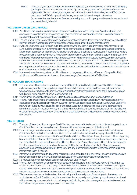99.5.2 If the use of your Credit Card as a digital card is facilitated, you will be asked to consent to the third party service provider's terms and conditions which govern your registration on, operation and use of the digital wallet. You acknowledge and agree that to the extent permissible by law, neither KBCI nor any member of the KBC Group shall be liable to you or any third party in respect of any loss (howsoever it arose) that was suffered or incurred by you or a third party, which arises in connection with your use of the digital wallet.

#### 100. USE OF CREDIT CARD ABROAD

- 100.1 Your Credit Card may be used in most countries worldwide subject to the Credit Limit. You should notify us in advance if you are planning to travel abroad. We have no obligation, responsibility or liability to you if a retailer or merchant abroad refuses to accept your Credit Card.
- 100.2 The use of your Credit Card while abroad is subject to local legal and regulatory requirements and your Credit Card may not be used in a foreign country for a purpose which is illegal under the laws of that country.
- 100.3 If you use your Credit Card for a non-euro transaction or withdraw cash in a country that is not a member of the Euro, the amount of any non-euro transaction will be converted to euro at the rate of exchange (as determined by Mastercard) applicable on the date the transaction or withdrawal is debited to your account in accordance with the procedures of the applicable Scheme. Accordingly the date of conversion may not be the date of the transaction or withdrawal. We have no control over when the transaction or withdrawal will actually be processed by the clearing system. For transactions or withdrawals in EEA countries we can provide you with an indicative rate of exchange on the day of the transaction if you contact us, but as outlined above, this may not be the actual rate that will be applied as exchange rates may fluctuate between the date of a transaction or withdrawal and the date on which the transaction or withdrawal amount is debited to your Account.
- 100.4 Non-euro transactions may attract additional fees and charges as outlined in our Fees and Charges Booklet. In addition some ATM providers in other countries may charge a fee for use of their ATM facilities.

#### 101. ACCOUNT TRANSACTIONS

- 101.1 The amount of all transactions (including those by all Cardholders) will be debited to your Credit Card Account reducing your available balance. When a transaction is debited to your Credit Card Account is dependent on when we receive the details of it from the retailer or merchant or their financial institution and in the case of a cash withdrawal it will be debited when we receive details of it.
- 101.2 We are under no obligation to provide ATM facilities or credit card service at any time or any location.
- 101.3 We shall not be responsible or liable for any malfunction, fault, suspension, breakdown, interruption or any other operational or technical problem with any system or service used to process transactions using Credit Cards. We may without liability to you suspend or discontinue credit card services for such period of time as is required to remedy the problem. In addition we may at any time, where we believe at our absolute discretion that there is a real or potential security risk, suspend or discontinue the credit card services until such security risk is resolved without liability to you.

#### 102. INTEREST

- 102.1 The rates of interest applicable to your Credit Card Account are available at www.kbc.ie. If interest is applied to your Credit Card Account the rate and amount of interest will be included on your monthly statement.
- 102.2 If you discharge the entire balance payable (including balances outstanding from previous statements) on your Credit Card Account by the due date specified in your monthly statement, we will not apply interest (other than interest on cash advanced as set out in Clause 98.4 above) to your Credit Card Account in respect of the outstanding balances detailed in that monthly statement. If the entire balance is not discharged by the payment date specified in your monthly statements we will apply interest to your Credit Card Account in respect of the outstanding balances from the transaction date up to the date of repayment at the then applicable interest rate. All purchases, cash advances, fees, charges, Government Stamp Duty and any other amounts debited to the Account are eligible for interest calculation purposes.
- 102.3 Interest will accrue from day to day on the basis of 365 days based on a 365 day year or on such other basis as we may determine from time to time. Interest is calculated on the average daily balance outstanding.
- 102.4 No interest is earned on any credit balances on the Credit Card Account.
- 102.5 We may from time to time amend or vary the interest rate applicable to the Credit Card Account. We will give you at least two months notice of any change to the interest rate in accordance with clause 17.2. Where the change in interest rate is to your benefit we may at our discretion apply the new interest rate with shorter notice to you where we are permitted by law to do so otherwise the relevant notice periods as referred to will apply.
- 102.6 We can determine at our sole discretion, the method by which we notify you of the changes to the interest rate applicable to the Credit Card Account. We may, without limitation, notify you by letter, by way of an insert enclosed with your monthly statement, electronic mail, telephone (including recorded message) and/or advertisement in an Irish national daily or weekly newspaper or on our website.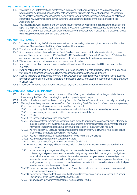#### 103. CREDIT CARD STATEMENTS

- 103.1 We will issue you a statement on a monthly basis, the date on which your statement is issued each month shall be determined by us and will depend on the date on which your Credit Card Account is opened. The statement will be sent to the correspondence address we hold for you on our records. Individual Cardholders do not receive statements however transactions carried out by the Cardholder are detailed on the statement sent to the Accountholder
- 103.2 You should review your statement and any other account information when received and examine it carefully and report any disputed transactions, errors or omissions to us. You must notify us without undue delay on becoming aware of an unauthorized or incorrectly executed transaction in accordance with Clause 62 and Clause 63 and as otherwise provided for in these Terms and Conditions.

#### 104. MONTHLY PAYMENTS

- 104.1 You are required to pay the full balance due as set out in your monthly statement by the due date specified in the statement. The due date will be 25 days from the date of the statement.
- 104.2 The full amount due must be paid by Direct Debit.
- 104.3 Additional payments can be made to your Credit Card Account by electronic funds transfer, standing order or cheque. Cheques should be sent to PO Box 12485, KBC Bank Ireland Plc, Sandwith Street, Dublin 2. Details of the account for payment by electronic funds transfer or standing order can be found on your statement.
- 104.4 We do not accept payment by cash either by post or through our hubs.
- 104.5 You should ensure that payment is made in sufficient time to allow it to reach your Credit Card Account by the due date.
- 104.6 If you do not pay the balance due on your Credit Card Account on the due date, interest will accrue on the balance that remains outstanding on your Credit Card Account in accordance with clause 102 above.
- 104.7 If you fail to pay the full amount due on your Credit Card Account by the due date, we reserve the right to suspend, revoke block or cancel your Credit Card and to terminate the Credit Card Account in accordance with the provisions of Clause 105.
- 104.8 If the due date falls on a date that is not a Business Day, the due date shall be the next Business day.

#### 105. CANCELLATION AND TERMINATION

- 105.1 If you wish to close your Account and cancel your Credit Card, you must advise us in writing or by telephone and then destroy the Credit Card by cutting through the chip and magnetic stripe.
- 105.2 If a Cardholder is removed from the Account, any Card in that Cardholder's name will be automatically cancelled by us.
- 105.3 We may immediately suspend, block any Credit Card, cancel any Credit Card and/or refuse to issue or replace any Credit Card and cease to provide the Credit Card Account to you if:
	- 105.3.1 you fail to pay the full balance outstanding on the due date as set out in your monthly statement;
	- 105.3.2 you are no longer, in our opinion, able to manage your financial affairs;
	- 105.3.3 you die;
	- 105.3.4 you cease trading or carrying on business;
	- 105.3.5 any representation, warranty or statement made by you to us is or becomes, in our opinion, untrue in any material respect or any evidence subsequently comes to our attention that false documentation and/or information was provided to us in support of your application for the Credit Card Account;
	- 105.3.6 we have objectively justifiable reasons related to the security of any Credit Card or have a suspicion of unauthorized or fraudulent use of any Credit Card;
	- 105.3.7 you commit any serious or repeated breach of these Terms and Conditions;
	- 105.3.8 you are in breach of any other agreement with us;
	- 105.3.9 it becomes unlawful for you to continue to have a Credit Card;
	- 105.3.10 we must do so to comply with any law, regulation or direction from a relevant competent authority or competent court;
	- 105.3.11 you enter into any arrangement with your creditors, are declared bankrupt or insolvent or judgment is obtained against you, or we otherwise consider that you may be unable to discharge your obligations to us, or if with respect to a corporate entity, a wind-up commences, your assets become subject to a receivership, administration or any form of legal protection from your creditors or you are the subject of any analogous insolvency processes or proceedings in another jurisdiction or we otherwise consider that you may be unable to discharge your obligations to us;
	- 105.3.12 if you use or we suspect that the Credit Card Account or your Credit Card is being used for any unlawful or other inappropriate purpose;
	- 105.3.13 we receive a notice of attachment from the Revenue Commissioners pursuant to Section 1001 and/or Section 1002 of the Taxes Consolidation Act 1997; or
	- 105.3.14 for any reason our Agreement becomes unenforceable or void; or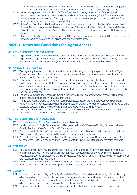105.3.15 we reasonably decide at any time that all or part of the documentation you supplied did not comply with the requirements of the Criminal Justice (Money Laundering and Terrorist Financing) Act 2010.

- 105.4 After the suspension and/or blocking of a Credit Card we will provide you with notice of such suspension or blocking. Whilst the Credit Card is suspended and/or blocked, we may cancel any Credit Card and/or refuse to issue, renew or replace any Credit Card by giving you 2 months notice whereupon you must cut all Credit Cards (through the signature box, magnetic strip and chip).
- 105.5 If the Credit Card Account is closed, you must immediately pay all sums owing on the Credit Card Account and interest, fees and charges will be charged up to the date of closure and the Credit Card will not be valid after the date of closure of the Credit Card Account. These terms and conditions will continue to apply until all money owed is paid.
- 105.6 In addition to the above we may cancel your Credit Card and cease to provide you with Credit Card services for any reason at anytime by providing you with two months prior written notice.

## **PART J - Terms and Conditions for Digital Access**

#### 106. TERMS OF USE FOR DIGITAL ACCESS

106.1 Digital Services must only be used in accordance with these Terms and Conditions for Digital Access. The use of Digital Services is governed by these Terms and Conditions, our Terms and Conditions for the Website (available at www.kbc.ie) banking law and practice generally, and the terms and conditions applicable to the Account.

#### 107. AVAILABILITY OF SERVICE

- 107.1 We may at any time and at our discretion and without any liability to you, modify, suspend or discontinue Digital Services without notice for any valid technical, operational (including without limitation routine maintenance or planned downtime) or commercial reason.
- 107.2 In the event of a breakdown, fault, malfunction or any other technical or operational problem in connection with the Digital Services, we may without liability to you suspend or discontinue the Digital Services for such period of time as is required to remedy the problem. In addition we may at any time, where we believe at our absolute discretion that there is a real or potential security risk without liability to you, suspend or discontinue Digital Services until such security risk is resolved.
- 107.3 The services, features and functionality available through the Digital Services may vary from time to time at our discretion and depending on the device you are using.
- 107.4 In order to avail of the Digital Services you must have requested access to Digital Services by completing and complying with our registration process and have activated the Digital Services as instructed. We may at our sole and absolute discretion refuse to register you for Digital Services without providing a reason.
- 107.5 We may at any time and at our discretion limit the number of Users who can access the Digital Services and/or suspend the access of any individual User without notice to you.

#### 108. FIRST USE OF THE DIGITAL SERVICES

- 108.1 You must register for Digital Services on the opening of your Account.
- 108.2 In order to register for Digital Services you must first download the KBCI Business Banking Online Activation and Security Application from Google Play or iOS App store.
- 108.3 When you register for Digital Services we will provide you with an activation code in order to create access to the Digital Services. The activation code will be valid for 5 days after which it will expire.
- 108.4 You shall use the activation code to activate the Digital Services. Once the Digital Services have been activated you will access the Digital Services by logging on to the website using your User ID and specially created password.

#### 109. EQUIPMENT

- 109.1 It is your responsibility to provide and maintain at your own cost, any and all equipment necessary in order to avail of the Digital Services. Prior to enrolling for Digital Services you should ensure that your equipment meets the specifications required for access to the Digital Services. We reserve the right at any time to modify the requirements and specifications of such equipment.
- 109.2 In order to access the Digital Services you will require internet access and will need to download the KBCI Business Banking Online Activation and Security Application from Google Play or iOS App store.

#### 110. SECURITY

- 110.1 You must not disclose your Digital Security Materials (the 'Security Materials') whether directly or indirectly, to any other person (including, but not limited to, any account aggregation service provider), or note them in a form that would be intelligible or otherwise make them accessible to any other person (including asking your computer or other electronic device to remember any of the Security Materials).
- 110.2 It is your responsibility to ensure the security of any computer, tablet, mobile phone or other electronic device from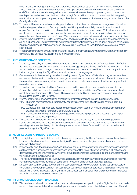which you access the Digital Services. You are required to disconnect, log off and exit the Digital Services and Website when not availing of the Digital Services. After a period of inactivity which will be defined at the discretion of KBCI, you will automatically be logged out. You must take all reasonable steps to prevent your computer, tablet, mobile phone or other electronic device from becoming infected with a virus and to prevent any third party gaining unauthorised access to your computer, tablet, mobile phone or other electronic device its programs and files and the Security Materials.

- 110.3 You must notify us as soon as is reasonably practicable and without undue delay on becoming aware of (i) the loss, theft or misappropriation of your Security Materials; and (ii) any fraudulent activity or unauthorised transactions on your Account. If we are notified of such loss, theft, or misappropriation of your Security Materials or any fraud or unauthorized transaction on your Account we shall take such action as we deem appropriate at our discretion to protect the security and privacy of the Account. We may require you to report such incidences to An Garda Síochána.
- 110.4 After you have registered for Digital Services, we will never ask you to disclose in full to us, or to anyone purporting to act on our behalf, your Security Materials. If you receive this form of request from any source, it is likely to be fraudulent in nature and you should not reveal your Security Materials in response. You should immediately advise us of any such request.
- 110.5 We cannot guarantee the privacy, confidentiality or security of information transmitted using Digital Services and by using the Digital Services you accept and acknowledge this risk.

#### 111. AUTHORISATION AND CONSENTS

- 111.1 You hereby irrevocably authorise and instruct us to act upon the instructions received from you through the Digital Services. You are responsible for ensuring that all instructions given by you through the Digital Services are complete and accurate. You cannot change or cancel instructions once you have authorised them online and any authorised instruction given through the Digital Services shall be final and binding on you.
- 111.2 Once an instruction is received by us authenticated by means of your Security Materials, you agree we can act on and process the instruction. You also acknowledge that we do not carry out any further security checks in respect of the instruction. However, we may at our discretion in certain circumstances request such further security verification as we deem appropriate.
- 111.3 These Terms and Conditions for Digital Access may amend the mandate you have provided in respect of the Account, but only to such extent as may be required to provide the Digital Services. We are under no obligation to check the mandate in respect of the Account before we provide the Digital Services or process any instruction received through the Digital Services.
- 111.4 We may decline to act on any instruction or request for information received through the Digital Services if: 111.4.1 There are insufficient funds in the relevant Account to cover an instruction to make a payment from that Account; or
	- 111.4.2 We believe that the Digital Services is being accessed and/or used in an irregular or unauthorised manner provided that we shall not be liable for any failure to do so.
	- 111.4.3 We suspect that the Digital Services is being used for fraudulent purposes or the security of your Digital Services has been compromised.
- 111.5 We record instructions received through the Digital Services and you hereby agree to the recording of such instructions and accept in the absence of manifest error the accuracy thereof. You further agree to the use of such recordings in the event of the any dispute arising in connection with these Terms and Conditions or any instruction provided through the Digital Services.

#### 112. MULTIPLE USERS AND REMOTE BANKING

- 112.1 The Digital Services is available to and instructions may be given using the Digital Services, by any of the authorised Users once they have registered for use of the Digital Services. Users must register separately and apply for their own Security Materials.
- 112.2 In the case of a dispute arising between Accountholders and/or authorised signatories and/or Users, such a dispute shall be resolved in accordance with the terms and conditions of the Account and we shall take such action as we deem necessary in the circumstances which may at our discretion include suspending, blocking, and/or terminating the Account and the Digital Services.
- 112.3 The Accountholder is responsible for, and where applicable, jointly and severally liable, for any instruction received from any User registered to transact on behalf of the Accountholder(s) through the Digital Services.
- 112.4 It is specifically acknowledged by you that in the case of an Account where there are multiple authorised Users of the Digital Services we may act upon instructions received through the Digital Services from any one of the Users in relation to the Account except where any limitations have been communicated to us or agreed setting of mandates and limits in advance, in relation to the Account.

#### 113. INFORMATION ON ACCOUNT BALANCES

113.1 We use all reasonable efforts to ensure that the information we provide to you through the Digital Services is accurate and complete however it should not be relied upon as conclusive evidence as to the state of your Account. We shall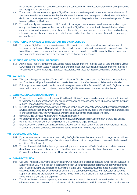not be liable for any loss, damage or expense arising in connection with the inaccuracy of any information provided to you through the Digital Services.

- 113.2 The account balance quoted through the Digital Services is updated at regular intervals when we receive details of the transactions from the merchant or their bank however it may not have been appropriately adjusted to include all debit/ credit (whether paper or electronic) transactions carried out by you since the balance was last updated if these have not yet been notified to us.
- 113.3 You shall carefully examine any account information (including Account statements and balances) received by you, or any other information provided by us to you, through the Digital Services from time to time and shall report any errors or omissions to us in writing without undue delay. Nothing herein will prevent us or you subsequently adjusting information to correct an error or omission, but in that case without any claim to compensation or damages arising on account thereof.

#### 114. FUNCTIONALITY AVAILABLE THROUGHOUT THE DIGITAL STATES

114.1 Through our Digital Services you may view account transactions and balances and carry out certain account transactions. The functionality available through the Digital Services will vary depending on the type of Account, the type of Digital Services you use and the equipment you use to access the. Digital Services The Digital Services may vary from time to time at our discretion and depending on the device you are using.

#### 115. LICENCE AND INTELLECTUAL PROPERTY

115.1 All Intellectual Property rights in the data, codes, mobile app, information or material used by us to provide the Digital Services are and remain vested in us and you are only authorised to use such data, codes, information or material for the purpose of accessing the Digital Services in accordance with these Terms and Conditions for Digital Access.

#### 116. VARIATION

- 116.1 We reserve the right to vary these Terms and Conditions for Digital Access at any time. Any change to these Terms and Conditions for Digital Access shall become effective two months after they are published on the Website.
- 116.2 Following the two month period each User shall be required to accept the Terms and Conditions for Digital Access as amended or varied in order to continue to avail of the Digital Services unless otherwise permitted by law.

#### 117. GENERAL DISCLAIMER AND INDEMNITY

- 117.1 You agree to be bound by these Terms and Conditions for Digital Access as may be amended from time to time and to indemnify KBCI in connection with any loss, or damage arising or occasioned by your breach or that of a third party of these Terms and Conditions for Digital Access.
- 117.2 KBCI, to the fullest extent permitted by law, is not accountable for and does not accept any liability or responsibility for any loss, damage (including without limitation, incidental, punitive, exemplary, special or consequential damages, loss of profit or damages resulting from lost data or business interruption) or expense resulting from:-
- (a) using the Digital Services whether with or without authorisation;
- (b) the performance, functionality, non-performance, unavailability, inaccessibility, or corruption of the Digital Service
- (c) communicating with us or transmitting instructions to us using the Digital Services;
- (d) any fraudulent or unauthorised transaction on the Account being made using the Digital Services provided that the fraudulent or unauthorised transaction has been authenticated with the Security Materials.

#### 118. COSTS AND CHARGES

- 118.1 If you carry out transactions on the Account using the Digital Services, the usual transaction charges as set out in our Business Banking Fees and Charges Booklet are applicable and will be charged in accordance with the terms and conditions of the Account.
- 118.2 You should note that all third party charges incurred by you in accessing the Digital Services such a telephone and data charges are at your cost and we have no liability or responsibility in respect of these. If you access the Digital Services from abroad you may be subject to additional roaming charges.

#### 119. DATA PROTECTION

- 119.1 Our Data Protection Documents set out in detail how we may use your personal data and our obligations pursuant to Data Protection Law. We keep each of the Data Protection Documents under regular review and any amendments and/ or updates we make will be reflected within the relevant Data Protection Document made available online at www.KBC.ie. Hard copies may also be obtained from any of our Hubs or on request from the Customer Services Department. Should there be any conflict between these Terms and Conditions and the Data Protection Documents, these Terms and Conditions shall prevail.
- 119.2 To maintain the security of our systems, protect our staff and to assist in the detection of fraud or other possible crimes we may monitor internet communications, including web and email traffic into and out of our domains. Without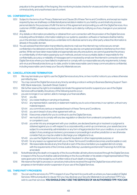prejudice to the generality of the forgoing, this monitoring includes checks for viruses and other malignant code, criminal activity, and unauthorised use of content.

#### 120. CONFIDENTIALITY

- 120.1 Subject to the terms of our Privacy Statement and Clause 28 of these Terms and Conditions, and except as maybe required by law, we shall keep confidential all personal data in relation to you held by us and shall only process personal data for the purposes of fulfil/ the terms of this agreement and providing you with the Digital Services. As a customer of KBCI, please help us keep your information up to date by notifying us of any changes in your personal details.
- 120.2 Any details or information provided by or obtained from us in connection with the provision of the Digital Services including without limitation, information relating to our systems, operation, software or hardware shall be held by you in the strictest confidential and you undertake not to disclose same to any other party unless the information is already in the public domain.
- 120.3 You are advised that information transmitted by electronic mail over the internet may not be secure, remain confidential or be delivered correctly. Electronic mail may also be corrupted and is liable to interference from third parties. While we have taken reasonable and appropriate security precautions, we cannot guarantee the privacy or confidentiality of information passing by such methods, and are not accountable, liable or responsible for the confidentiality, accuracy or reliability of messages sent or received by email over the internet in connection with the Digital Services where you have failed to implement or comply with our reasonable security requirements, to keep anti-virus and firewall protections up-to-date, and/or to take reasonable care to keep communications confidential, including reasonable care to keep your Security Materials secure.

#### 121. CANCELLATION AND TERMINATION

- 121.1 We may terminate your right to use the Digital Services at any time, on two months' notice to you unless otherwise permitted by law.
- 121.2 You may cancel the Digital Services at any time by sending a notice in writing to Business Banking Support Team KBC Bank Ireland plc., Sandwith Street, Dublin 2.
- 121.3 We further reserve the right to immediately terminate this agreement and/or suspend your use of the Digital Services without liability should any of the following events occur:-
- 121.4 you are no longer, in our opinion, able to manage your financial affairs;
	- 121.4.1 you die;
	- 121.4.2 you cease trading or carrying on business;
	- 121.4.3 any representation, warranty or statement made by you to us is or becomes, in our opinion, untrue in any material respect;
	- 121.4.4 you commit any serious or repeated breach of these Terms and Conditions;
	- 121.4.5 you are in breach of any other agreement with us;
	- 121.4.6 it becomes unlawful for you to continue to use the Digital Services;
	- 121.4.7 we must do so to comply with any law, regulation or direction from a relevant competent authority or competent court;
	- 121.4.8 you enter into any arrangement with your creditors, are declared bankrupt or insolvent or judgment is obtained against you or, with respect to a corporate entity, a wind-up commences, your assets become subject to a receivership, administration or any form of legal protection from your creditors, or you are the subject of any analogous insolvency processes or proceedings in another jurisdiction or we otherwise consider that you may be unable to discharge your obligations to us;
	- 121.4.9 you use the Digital Services for any unlawful, fraudulent or other inappropriate purpose; or
	- 121.4.10 for any reason our agreement with you or these Terms and Conditions becomes unenforceable or void.
	- 121.4.11 We reasonable decide at any time that all or part of the documentation you supplied did not comply with the requirements of the Criminal Justice (Money Laundering and terrorist Financing) Act 2010 (as amended).
- 121.5 Notwithstanding the death or incapacity of the Accountholder, all instructions received through the Digital Services in respect of the Account shall be valid and binding on the Accountholder or his estate or legal representative if they were given prior to the receipt by us of written notice of such death or incapacity.
- 121.6 We reserve the right to process or cancel any instructions received through the Digital Services which are in progress on termination and/or suspension of your use of the Digital Services.

#### 122. THIRD PARTY PROVIDERS

122.1 You can use the services of a TPP in respect of your Payment Accounts with us where you have availed of Digital Services. Without prejudice to clause 110.1 you may disclose your Security Materials to an authorised TPP if you wish to use their services. YOU SHOULD ONLY USE THE SERVICES OF AN AUTHORISED TPP. YOU CAN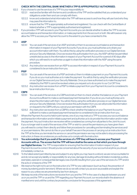#### CHECK WITH THE CENTRAL BANK WHETHER A TPP IS APPROPRIATELY AUTHORISED.

- 122.2 If you choose to use the services of a TPP it is your responsibility to:
	- 122.2.1 read and be familiar with the terms and conditions of the TPP and be satisfied that you understand your obligations under them and can comply with them;
	- 122.2.2 know and understand what information the TPP will have access to and how they will use it and who they may pass this information to;
	- 122.2.3 ensure that the TPP is appropriately authorised and registered. You can check with the Central Bank of Ireland whether a TPP is appropriately authorised and registered.
- 122.3 If you provide a TPP with access to your Payment Accounts you can decide whether to allow the TPP to access account balance and transaction information, or make payments from the account or both. We will however only allow the TPP to access your Payment Account to the extent to you have consented to this.

## 122.4 **AISP**<br>122.41

- 122.4.1 You can avail of the services of an AISP and instruct them to access account balance and transaction information in respect of your Payment Accounts. If you do so, you must authorise us to share your account information with them. You will do this by using the verification process on our Digital Services and your Security Materials. Once we receive this authorisation from you, the AISP will then be permitted unrestricted access to the information in respect of your Payment Account for a period of 90 days after which you will need to re-authorise us again to share this information with the AISP using the same procedure.
- 122.4.2 Any instruction we receive from an AISP to access information in respect of your Payment Account is considered to be an instruction from you.

#### 122.5 PISP

- 122.5.1 You can avail of the services of a PISP and instruct them to initiate a payment on your Payment Accounts. If you do so you must authorise us to make the payment. You will do this by using the verification process on our Digital Services and your Security Materials. Once you have authorised us to make the payment initiated by the PISP it cannot be revoked unless you request us to do so prior to our Cut Off Time.
- 122.5.2 Any instruction we receive from a PISP to initiate a payment from your Payment Account is considered to be an instruction from you.

#### 122.6 CBPII

- 122.6.1 You can avail of the services of a CBPII and instruct them to check whether the balance on your Payment Account is sufficient to make a card based payment transaction. If you do so you must authorise us to share this information with them. You will do this by using the verification process on our Digital Services and your Security Materials. Once we receive this authorisation from you we will provide this information on request to the CBPII until you cancel your permission with the CBPII.
- 122.6.2 Any instruction we receive from a CBPII to check whether the balance on your Payment Account is sufficient to make a card based payment transaction is considered to be an instruction from you.
- 122.7 Where the Payment Account is held in joint names, one of you may instruct a TPP to access your account balance and transaction information and/or initiate a payment and authorise us to do provide this information and/or make the payment. Any such instruction we receive will be considered as coming from all parties to the Joint Account.
- 122.8 If you no longer wish to avail of the services of the TPP or wish to cancel the permissions you have given them you will need to contact them directly and follow their procedures for cancelling and terminating the services and/ or your permissions. We cannot do this on your behalf. If we are in the process of carrying out an instruction from the TPP at the time you terminate the service or cancel the permission we may not be able to stop processing the instruction, in these circumstances you authorise us to comply with the instruction.
- 122.9 You acknowledge that if you avail of the services of a TPP they will have to access your Payment Accounts with us. The access that the TPP will have shall be the same as that which you have through our Digital Services. The TPP is responsible for ensuring that the information it holds in respect of your Payment Account is correct. Should you be concerned about the security of your account at anytime you should immediately contact us.
- 122.10 To the fullest extent permitted by law and subject to any rights you may have to a refund, we are not accountable for and do not accept any liability or responsibility for any loss, damage (including without limitation incidental, punitive, exemplary, special or consequential damages, loss of profit) resulting from your use of the services of a TPP and/or the acts or omissions of the TPP.
- 122.11 We reserve the right not to act on the instruction of a TPP for any valid reason (such as fraud, the prevention of money laundering and/or terrorism). Where we do so we will contact you as soon as possible and explain the reason to you unless we are prevented by law from doing so.
- 122.12 We keep records of the instructions we receive from you and the TPP. In the case of a dispute between you and us or you and the TPP or us and the TPP regarding your Payment Account, our records shall in the absence of manifest error and until the contrary be proved be conclusive for the purposes of this agreement.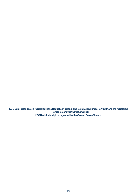KBC Bank Ireland plc. is registered in the Republic of Ireland. The registration number is 40537 and the registered office is Sandwith Street, Dublin 2. KBC Bank Ireland plc is regulated by the Central Bank of Ireland.